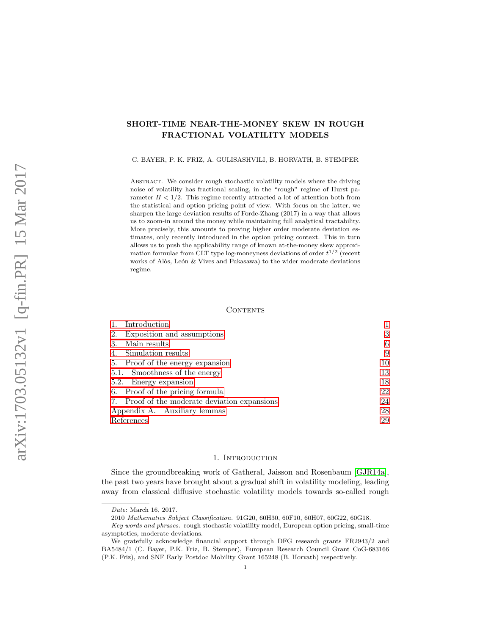# SHORT-TIME NEAR-THE-MONEY SKEW IN ROUGH FRACTIONAL VOLATILITY MODELS

C. BAYER, P. K. FRIZ, A. GULISASHVILI, B. HORVATH, B. STEMPER

ABSTRACT. We consider rough stochastic volatility models where the driving noise of volatility has fractional scaling, in the "rough" regime of Hurst parameter  $H < 1/2$ . This regime recently attracted a lot of attention both from the statistical and option pricing point of view. With focus on the latter, we sharpen the large deviation results of Forde-Zhang (2017) in a way that allows us to zoom-in around the money while maintaining full analytical tractability. More precisely, this amounts to proving higher order moderate deviation estimates, only recently introduced in the option pricing context. This in turn allows us to push the applicability range of known at-the-money skew approximation formulae from CLT type log-moneyness deviations of order  $t^{1/2}$  (recent works of Alòs, León & Vives and Fukasawa) to the wider moderate deviations regime.

#### **CONTENTS**

| Introduction                                  |    |
|-----------------------------------------------|----|
| Exposition and assumptions<br>2.              | 3  |
| Main results<br>3.                            | 6  |
| Simulation results<br>4.                      | 9  |
| 5. Proof of the energy expansion              | 10 |
| 5.1. Smoothness of the energy                 | 13 |
| 5.2. Energy expansion                         | 18 |
| 6. Proof of the pricing formula               | 22 |
| 7. Proof of the moderate deviation expansions | 24 |
| Appendix A. Auxiliary lemmas                  | 28 |
| References                                    | 29 |

## 1. INTRODUCTION

<span id="page-0-0"></span>Since the groundbreaking work of Gatheral, Jaisson and Rosenbaum [\[GJR14a\]](#page-29-0), the past two years have brought about a gradual shift in volatility modeling, leading away from classical diffusive stochastic volatility models towards so-called rough

Date: March 16, 2017.

<sup>2010</sup> Mathematics Subject Classification. 91G20, 60H30, 60F10, 60H07, 60G22, 60G18.

Key words and phrases. rough stochastic volatility model, European option pricing, small-time asymptotics, moderate deviations.

We gratefully acknowledge financial support through DFG research grants FR2943/2 and BA5484/1 (C. Bayer, P.K. Friz, B. Stemper), European Research Council Grant CoG-683166 (P.K. Friz), and SNF Early Postdoc Mobility Grant 165248 (B. Horvath) respectively.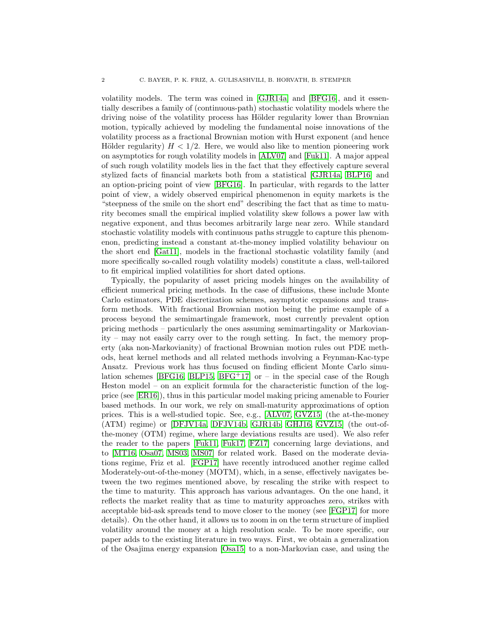volatility models. The term was coined in [\[GJR14a\]](#page-29-0) and [\[BFG16\]](#page-28-1), and it essentially describes a family of (continuous-path) stochastic volatility models where the driving noise of the volatility process has Hölder regularity lower than Brownian motion, typically achieved by modeling the fundamental noise innovations of the volatility process as a fractional Brownian motion with Hurst exponent (and hence Hölder regularity)  $H < 1/2$ . Here, we would also like to mention pioneering work on asymptotics for rough volatility models in [\[ALV07\]](#page-28-2) and [\[Fuk11\]](#page-29-1). A major appeal of such rough volatility models lies in the fact that they effectively capture several stylized facts of financial markets both from a statistical [\[GJR14a,](#page-29-0) [BLP16\]](#page-28-3) and an option-pricing point of view [\[BFG16\]](#page-28-1). In particular, with regards to the latter point of view, a widely observed empirical phenomenon in equity markets is the "steepness of the smile on the short end" describing the fact that as time to maturity becomes small the empirical implied volatility skew follows a power law with negative exponent, and thus becomes arbitrarily large near zero. While standard stochastic volatility models with continuous paths struggle to capture this phenomenon, predicting instead a constant at-the-money implied volatility behaviour on the short end [\[Gat11\]](#page-29-2), models in the fractional stochastic volatility family (and more specifically so-called rough volatility models) constitute a class, well-tailored to fit empirical implied volatilities for short dated options.

Typically, the popularity of asset pricing models hinges on the availability of efficient numerical pricing methods. In the case of diffusions, these include Monte Carlo estimators, PDE discretization schemes, asymptotic expansions and transform methods. With fractional Brownian motion being the prime example of a process beyond the semimartingale framework, most currently prevalent option pricing methods – particularly the ones assuming semimartingality or Markovianity – may not easily carry over to the rough setting. In fact, the memory property (aka non-Markovianity) of fractional Brownian motion rules out PDE methods, heat kernel methods and all related methods involving a Feynman-Kac-type Ansatz. Previous work has thus focused on finding efficient Monte Carlo simu-lation schemes [\[BFG16,](#page-28-1) [BLP15,](#page-28-4) [BFG](#page-28-5)<sup>+</sup>17] or – in the special case of the Rough Heston model – on an explicit formula for the characteristic function of the logprice (see [\[ER16\]](#page-29-3)), thus in this particular model making pricing amenable to Fourier based methods. In our work, we rely on small-maturity approximations of option prices. This is a well-studied topic. See, e.g., [\[ALV07,](#page-28-2) [GVZ15\]](#page-29-4) (the at-the-money (ATM) regime) or [\[DFJV14a,](#page-28-6) [DFJV14b,](#page-29-5) [GJR14b,](#page-29-6) [GHJ16,](#page-29-7) [GVZ15\]](#page-29-4) (the out-ofthe-money (OTM) regime, where large deviations results are used). We also refer the reader to the papers [\[Fuk11,](#page-29-1) [Fuk17,](#page-29-8) [FZ17\]](#page-29-9) concerning large deviations, and to [\[MT16,](#page-29-10) [Osa07,](#page-29-11) [MS03,](#page-29-12) [MS07\]](#page-29-13) for related work. Based on the moderate deviations regime, Friz et al. [\[FGP17\]](#page-29-14) have recently introduced another regime called Moderately-out-of-the-money (MOTM), which, in a sense, effectively navigates between the two regimes mentioned above, by rescaling the strike with respect to the time to maturity. This approach has various advantages. On the one hand, it reflects the market reality that as time to maturity approaches zero, strikes with acceptable bid-ask spreads tend to move closer to the money (see [\[FGP17\]](#page-29-14) for more details). On the other hand, it allows us to zoom in on the term structure of implied volatility around the money at a high resolution scale. To be more specific, our paper adds to the existing literature in two ways. First, we obtain a generalization of the Osajima energy expansion [\[Osa15\]](#page-29-15) to a non-Markovian case, and using the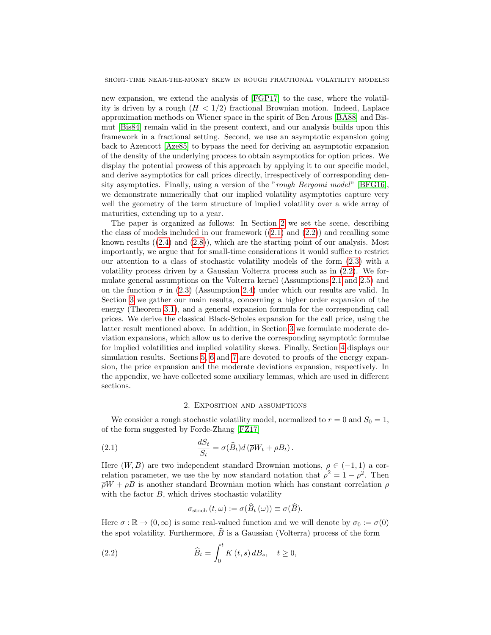new expansion, we extend the analysis of [\[FGP17\]](#page-29-14) to the case, where the volatility is driven by a rough  $(H < 1/2)$  fractional Brownian motion. Indeed, Laplace approximation methods on Wiener space in the spirit of Ben Arous [\[BA88\]](#page-28-7) and Bismut [\[Bis84\]](#page-28-8) remain valid in the present context, and our analysis builds upon this framework in a fractional setting. Second, we use an asymptotic expansion going back to Azencott [\[Aze85\]](#page-28-9) to bypass the need for deriving an asymptotic expansion of the density of the underlying process to obtain asymptotics for option prices. We display the potential prowess of this approach by applying it to our specific model, and derive asymptotics for call prices directly, irrespectively of corresponding density asymptotics. Finally, using a version of the "rough Bergomi model" [\[BFG16\]](#page-28-1), we demonstrate numerically that our implied volatility asymptotics capture very well the geometry of the term structure of implied volatility over a wide array of maturities, extending up to a year.

The paper is organized as follows: In Section [2](#page-2-0) we set the scene, describing the class of models included in our framework  $((2.1)$  $((2.1)$  and  $(2.2))$  $(2.2))$  and recalling some known results  $((2.4)$  $((2.4)$  and  $(2.8)$ , which are the starting point of our analysis. Most importantly, we argue that for small-time considerations it would suffice to restrict our attention to a class of stochastic volatility models of the form [\(2.3\)](#page-3-1) with a volatility process driven by a Gaussian Volterra process such as in [\(2.2\)](#page-2-2). We formulate general assumptions on the Volterra kernel (Assumptions [2.1](#page-3-2) and [2.5\)](#page-4-1) and on the function  $\sigma$  in [\(2.3\)](#page-3-1) (Assumption [2.4\)](#page-4-2) under which our results are valid. In Section [3](#page-5-0) we gather our main results, concerning a higher order expansion of the energy (Theorem [3.1\)](#page-5-1), and a general expansion formula for the corresponding call prices. We derive the classical Black-Scholes expansion for the call price, using the latter result mentioned above. In addition, in Section [3](#page-5-0) we formulate moderate deviation expansions, which allow us to derive the corresponding asymptotic formulae for implied volatilities and implied volatility skews. Finally, Section [4](#page-8-0) displays our simulation results. Sections [5,](#page-9-0) [6](#page-21-0) and [7](#page-23-0) are devoted to proofs of the energy expansion, the price expansion and the moderate deviations expansion, respectively. In the appendix, we have collected some auxiliary lemmas, which are used in different sections.

### <span id="page-2-1"></span>2. Exposition and assumptions

<span id="page-2-0"></span>We consider a rough stochastic volatility model, normalized to  $r = 0$  and  $S_0 = 1$ , of the form suggested by Forde-Zhang [\[FZ17\]](#page-29-9)

(2.1) 
$$
\frac{dS_t}{S_t} = \sigma(\widehat{B}_t)d(\overline{\rho}W_t + \rho B_t).
$$

Here  $(W, B)$  are two independent standard Brownian motions,  $\rho \in (-1, 1)$  a correlation parameter, we use the by now standard notation that  $\bar{\rho}^2 = 1 - \rho^2$ . Then  $\overline{\rho}W + \rho B$  is another standard Brownian motion which has constant correlation  $\rho$ with the factor  $B$ , which drives stochastic volatility

<span id="page-2-2"></span>
$$
\sigma_{\text{stoch}}(t,\omega) := \sigma(\widehat{B}_t(\omega)) \equiv \sigma(\widehat{B}).
$$

Here  $\sigma : \mathbb{R} \to (0, \infty)$  is some real-valued function and we will denote by  $\sigma_0 := \sigma(0)$ the spot volatility. Furthermore,  $\widehat{B}$  is a Gaussian (Volterra) process of the form

(2.2) 
$$
\widehat{B}_t = \int_0^t K(t,s) dB_s, \quad t \ge 0,
$$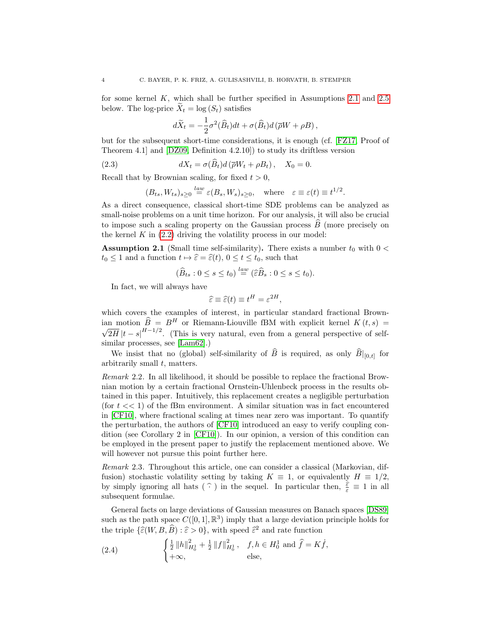for some kernel K, which shall be further specified in Assumptions [2.1](#page-3-2) and [2.5](#page-4-1) below. The log-price  $\overline{X}_t = \log(S_t)$  satisfies

<span id="page-3-1"></span>
$$
d\widetilde{X}_t = -\frac{1}{2}\sigma^2(\widehat{B}_t)dt + \sigma(\widehat{B}_t)d(\overline{\rho}W + \rho B),
$$

but for the subsequent short-time considerations, it is enough (cf. [\[FZ17,](#page-29-9) Proof of Theorem 4.1] and [\[DZ09,](#page-29-16) Definition 4.2.10]) to study its driftless version

(2.3) 
$$
dX_t = \sigma(B_t) d(\overline{\rho}W_t + \rho B_t), \quad X_0 = 0.
$$

Recall that by Brownian scaling, for fixed  $t > 0$ ,

$$
(B_{ts}, W_{ts})_{s\geq 0} \stackrel{law}{=} \varepsilon(B_s, W_s)_{s\geq 0}
$$
, where  $\varepsilon \equiv \varepsilon(t) \equiv t^{1/2}$ .

As a direct consequence, classical short-time SDE problems can be analyzed as small-noise problems on a unit time horizon. For our analysis, it will also be crucial to impose such a scaling property on the Gaussian process  $\overline{B}$  (more precisely on the kernel  $K$  in  $(2.2)$  driving the volatility process in our model:

<span id="page-3-2"></span>**Assumption 2.1** (Small time self-similarity). There exists a number  $t_0$  with  $0 <$  $t_0 \leq 1$  and a function  $t \mapsto \widehat{\varepsilon} = \widehat{\varepsilon}(t), 0 \leq t \leq t_0$ , such that

$$
(\widehat{B}_{ts}: 0 \le s \le t_0) \stackrel{law}{=} (\widehat{\varepsilon}\widehat{B}_s: 0 \le s \le t_0).
$$

In fact, we will always have

$$
\widehat{\varepsilon} \equiv \widehat{\varepsilon}(t) \equiv t^H = \varepsilon^{2H},
$$

which covers the examples of interest, in particular standard fractional Brownian motion  $\widehat{B} = B^H$  or Riemann-Liouville fBM with explicit kernel  $K(t, s) =$ √  $2\overline{H}|t-s|^{H-1/2}$ . (This is very natural, even from a general perspective of selfsimilar processes, see [\[Lam62\]](#page-29-17).)

We insist that no (global) self-similarity of B is required, as only  $B|_{[0,t]}$  for arbitrarily small t, matters.

Remark 2.2. In all likelihood, it should be possible to replace the fractional Brownian motion by a certain fractional Ornstein-Uhlenbeck process in the results obtained in this paper. Intuitively, this replacement creates a negligible perturbation (for  $t \ll 1$ ) of the fBm environment. A similar situation was in fact encountered in [\[CF10\]](#page-28-10), where fractional scaling at times near zero was important. To quantify the perturbation, the authors of [\[CF10\]](#page-28-10) introduced an easy to verify coupling condition (see Corollary 2 in [\[CF10\]](#page-28-10)). In our opinion, a version of this condition can be employed in the present paper to justify the replacement mentioned above. We will however not pursue this point further here.

Remark 2.3. Throughout this article, one can consider a classical (Markovian, diffusion) stochastic volatility setting by taking  $K \equiv 1$ , or equivalently  $H \equiv 1/2$ , by simply ignoring all hats  $(\hat{\cdot})$  in the sequel. In particular then,  $\frac{\hat{\varepsilon}}{\varepsilon} \equiv 1$  in all subsequent formulae. subsequent formulae.

General facts on large deviations of Gaussian measures on Banach spaces [\[DS89\]](#page-29-18) such as the path space  $C([0,1], \mathbb{R}^3)$  imply that a large deviation principle holds for the triple  $\{\widehat{\varepsilon}(W, B, \widehat{B}) : \widehat{\varepsilon} > 0\}$ , with speed  $\widehat{\varepsilon}^2$  and rate function

<span id="page-3-0"></span>(2.4) 
$$
\begin{cases} \frac{1}{2} ||h||_{H_0^1}^2 + \frac{1}{2} ||f||_{H_0^1}^2, & f, h \in H_0^1 \text{ and } \hat{f} = K\dot{f}, \\ +\infty, & \text{else,} \end{cases}
$$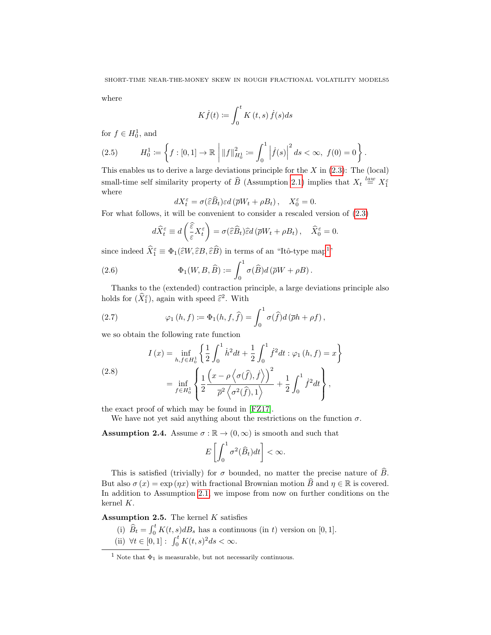where

$$
K\dot{f}(t) \coloneqq \int_0^t K(t,s)\,\dot{f}(s)ds
$$

for  $f \in H_0^1$ , and

$$
(2.5) \tH_0^1 := \left\{ f : [0,1] \to \mathbb{R} \, \left| \, \|f\|_{H_0^1}^2 := \int_0^1 \left| \dot{f}(s) \right|^2 ds < \infty, \ f(0) = 0 \right. \right\}.
$$

This enables us to derive a large deviations principle for the  $X$  in  $(2.3)$ : The  $(local)$ small-time self similarity property of  $\widehat{B}$  (Assumption [2.1\)](#page-3-2) implies that  $X_t \stackrel{law}{=} X_1^{\varepsilon}$ where

$$
dX_t^{\varepsilon} = \sigma(\widehat{\varepsilon}\widehat{B}_t)\varepsilon d\left(\overline{\rho}W_t + \rho B_t\right), \quad X_0^{\varepsilon} = 0.
$$

 $dX_t^{\varepsilon} = \sigma(\widehat{\varepsilon} \widehat{B}_t) \varepsilon d(\overline{\rho} W_t + \rho B_t), \quad X_0^{\varepsilon} = 0.$ <br>For what follows, it will be convenient to consider a rescaled version of [\(2.3\)](#page-3-1)

<span id="page-4-4"></span>
$$
d\widehat{X}_t^{\varepsilon} \equiv d\left(\frac{\widehat{\varepsilon}}{\varepsilon} X_t^{\varepsilon}\right) = \sigma(\widehat{\varepsilon}\widehat{B}_t) \widehat{\varepsilon} d\left(\overline{\rho} W_t + \rho B_t\right), \quad \widehat{X}_0^{\varepsilon} = 0.
$$

since indeed  $\hat{X}_{1}^{\varepsilon} \equiv \Phi_{1}(\hat{\varepsilon}W, \hat{\varepsilon}B, \hat{\varepsilon}\hat{B})$  $\hat{X}_{1}^{\varepsilon} \equiv \Phi_{1}(\hat{\varepsilon}W, \hat{\varepsilon}B, \hat{\varepsilon}\hat{B})$  $\hat{X}_{1}^{\varepsilon} \equiv \Phi_{1}(\hat{\varepsilon}W, \hat{\varepsilon}B, \hat{\varepsilon}\hat{B})$  in terms of an "Itô-type map<sup>1"</sup>

(2.6) 
$$
\Phi_1(W, B, \widehat{B}) := \int_0^1 \sigma(\widehat{B}) d(\overline{\rho}W + \rho B).
$$

Thanks to the (extended) contraction principle, a large deviations principle also holds for  $(\hat{X}_{1}^{\varepsilon})$ , again with speed  $\hat{\varepsilon}^{2}$ . With

(2.7) 
$$
\varphi_1(h, f) := \Phi_1(h, f, \hat{f}) = \int_0^1 \sigma(\hat{f}) d(\bar{\rho}h + \rho f),
$$

we so obtain the following rate function

<span id="page-4-0"></span>(2.8)  

$$
I(x) = \inf_{h,f \in H_0^1} \left\{ \frac{1}{2} \int_0^1 \dot{h}^2 dt + \frac{1}{2} \int_0^1 \dot{f}^2 dt : \varphi_1(h,f) = x \right\}
$$

$$
= \inf_{f \in H_0^1} \left\{ \frac{1}{2} \frac{\left(x - \rho \left\langle \sigma(\hat{f}), \dot{f} \right\rangle \right)^2}{\overline{\rho}^2 \left\langle \sigma^2(\hat{f}), 1 \right\rangle} + \frac{1}{2} \int_0^1 \dot{f}^2 dt \right\},
$$

the exact proof of which may be found in [\[FZ17\]](#page-29-9).

We have not yet said anything about the restrictions on the function  $\sigma$ .

<span id="page-4-2"></span>**Assumption 2.4.** Assume  $\sigma : \mathbb{R} \to (0, \infty)$  is smooth and such that

$$
E\left[\int_0^1 \sigma^2(\widehat{B}_t)dt\right] < \infty.
$$

This is satisfied (trivially) for  $\sigma$  bounded, no matter the precise nature of  $\widehat{B}$ . But also  $\sigma(x) = \exp(\eta x)$  with fractional Brownian motion  $\hat{B}$  and  $\eta \in \mathbb{R}$  is covered. In addition to Assumption [2.1,](#page-3-2) we impose from now on further conditions on the kernel K.

<span id="page-4-1"></span>Assumption 2.5. The kernel  $K$  satisfies

- (i)  $\widehat{B}_t = \int_0^t K(t, s) dB_s$  has a continuous (in t) version on [0, 1].
- (ii)  $\forall t \in [0, 1]: \int_0^t K(t, s)^2 ds < \infty.$

<span id="page-4-3"></span><sup>&</sup>lt;sup>1</sup> Note that  $\Phi_1$  is measurable, but not necessarily continuous.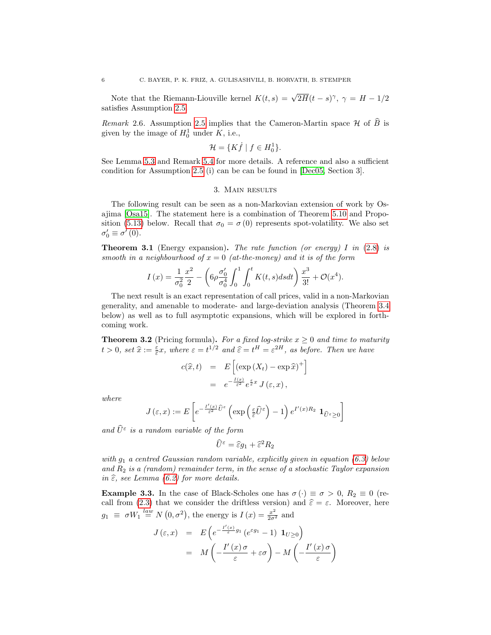Note that the Riemann-Liouville kernel  $K(t,s) = \sqrt{2H}(t-s)^\gamma$ ,  $\gamma = H - 1/2$ satisfies Assumption [2.5.](#page-4-1)

Remark 2.6. Assumption [2.5](#page-4-1) implies that the Cameron-Martin space  $\mathcal H$  of  $\widehat B$  is given by the image of  $H_0^1$  under K, i.e.,

$$
\mathcal{H} = \{ K \dot{f} \mid f \in H_0^1 \}.
$$

See Lemma [5.3](#page-13-0) and Remark [5.4](#page-13-1) for more details. A reference and also a sufficient condition for Assumption [2.5](#page-4-1) (i) can be can be found in [\[Dec05,](#page-28-11) Section 3].

## 3. Main results

<span id="page-5-0"></span>The following result can be seen as a non-Markovian extension of work by Osajima [\[Osa15\]](#page-29-15). The statement here is a combination of Theorem [5.10](#page-16-0) and Propo-sition [\(5.13\)](#page-21-1) below. Recall that  $\sigma_0 = \sigma(0)$  represents spot-volatility. We also set  $\sigma'_0 \equiv \sigma'(0).$ 

<span id="page-5-1"></span>**Theorem 3.1** (Energy expansion). The rate function (or energy) I in  $(2.8)$  is smooth in a neighbourhood of  $x = 0$  (at-the-money) and it is of the form

$$
I(x) = \frac{1}{\sigma_0^2} \frac{x^2}{2} - \left(6\rho \frac{\sigma_0'}{\sigma_0^4} \int_0^1 \int_0^t K(t, s) ds dt\right) \frac{x^3}{3!} + \mathcal{O}(x^4).
$$

The next result is an exact representation of call prices, valid in a non-Markovian generality, and amenable to moderate- and large-deviation analysis (Theorem [3.4](#page-6-0) below) as well as to full asymptotic expansions, which will be explored in forthcoming work.

<span id="page-5-2"></span>**Theorem 3.2** (Pricing formula). For a fixed log-strike  $x \geq 0$  and time to maturity  $t > 0$ , set  $\hat{x} := \frac{\varepsilon}{\hat{\varepsilon}} x$ , where  $\varepsilon = t^{1/2}$  and  $\hat{\varepsilon} = t^H = \varepsilon^{2H}$ , as before. Then we have

$$
c(\widehat{x},t) = E\left[\left(\exp\left(X_t\right) - \exp\widehat{x}\right)^+\right]
$$

$$
= e^{-\frac{I(x)}{\widehat{\varepsilon}^2}} e^{\frac{\varepsilon}{\widehat{\varepsilon}}x} J\left(\varepsilon, x\right),
$$

where

$$
J\left(\varepsilon,x\right) := E\left[e^{-\frac{I'\left(x\right)}{\varepsilon^2}\widehat{U}^{\varepsilon}}\left(\exp\left(\frac{\varepsilon}{\widehat{\varepsilon}}\widehat{U}^{\varepsilon}\right)-1\right)e^{I'\left(x\right)R_2}\mathbf{1}_{\widehat{U}^{\varepsilon}\geq 0}\right]\right)
$$

and  $\hat{U}^{\varepsilon}$  is a random variable of the form

$$
\widehat{U}^{\varepsilon} = \widehat{\varepsilon} g_1 + \widehat{\varepsilon}^2 R_2
$$

with  $g_1$  a centred Gaussian random variable, explicitly given in equation [\(6.3\)](#page-22-0) below and  $R_2$  is a (random) remainder term, in the sense of a stochastic Taylor expansion in  $\hat{\varepsilon}$ , see Lemma [\(6.2\)](#page-22-1) for more details.

**Example 3.3.** In the case of Black-Scholes one has  $\sigma(\cdot) \equiv \sigma > 0$ ,  $R_2 \equiv 0$  (re-call from [\(2.3\)](#page-3-1) that we consider the driftless version) and  $\hat{\varepsilon} = \varepsilon$ . Moreover, here  $g_1 \equiv \sigma W_1 \stackrel{law}{=} N(0, \sigma^2)$ , the energy is  $I(x) = \frac{x^2}{2\sigma^2}$  and

$$
J(\varepsilon, x) = E\left(e^{-\frac{I'(x)}{\varepsilon}g_1}(e^{\varepsilon g_1} - 1) \mathbf{1}_{U \ge 0}\right)
$$
  
= 
$$
M\left(-\frac{I'(x)\sigma}{\varepsilon} + \varepsilon \sigma\right) - M\left(-\frac{I'(x)\sigma}{\varepsilon}\right)
$$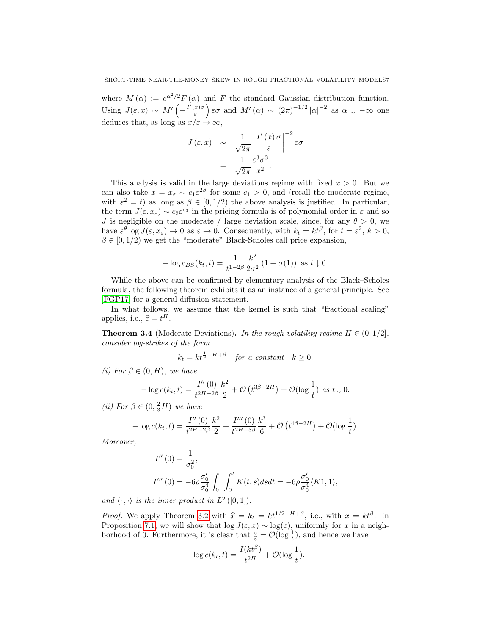where  $M(\alpha) := e^{\alpha^2/2} F(\alpha)$  and F the standard Gaussian distribution function. Using  $J(\varepsilon, x) \sim M' \left( -\frac{I'(x)\sigma}{\varepsilon} \right)$  $\left(\frac{x}{\varepsilon}\right)$   $\varepsilon\sigma$  and  $M'(\alpha) \sim (2\pi)^{-1/2} |\alpha|^{-2}$  as  $\alpha \downarrow -\infty$  one deduces that, as long as  $x/\varepsilon \to \infty$ ,

$$
J(\varepsilon, x) \sim \frac{1}{\sqrt{2\pi}} \left| \frac{I'(x)\sigma}{\varepsilon} \right|^{-2} \varepsilon \sigma
$$

$$
= \frac{1}{\sqrt{2\pi}} \frac{\varepsilon^3 \sigma^3}{x^2}.
$$

This analysis is valid in the large deviations regime with fixed  $x > 0$ . But we can also take  $x = x_{\varepsilon} \sim c_1 \varepsilon^{2\beta}$  for some  $c_1 > 0$ , and (recall the moderate regime, with  $\varepsilon^2 = t$ ) as long as  $\beta \in [0, 1/2)$  the above analysis is justified. In particular, the term  $J(\varepsilon, x_{\varepsilon}) \sim c_2 \varepsilon^{c_3}$  in the pricing formula is of polynomial order in  $\varepsilon$  and so J is negligible on the moderate / large deviation scale, since, for any  $\theta > 0$ , we have  $\varepsilon^{\theta} \log J(\varepsilon, x_{\varepsilon}) \to 0$  as  $\varepsilon \to 0$ . Consequently, with  $k_t = kt^{\beta}$ , for  $t = \varepsilon^2$ ,  $k > 0$ ,  $\beta \in [0, 1/2)$  we get the "moderate" Black-Scholes call price expansion,

$$
-\log c_{BS}(k_t, t) = \frac{1}{t^{1-2\beta}} \frac{k^2}{2\sigma^2} (1 + o(1)) \text{ as } t \downarrow 0.
$$

While the above can be confirmed by elementary analysis of the Black–Scholes formula, the following theorem exhibits it as an instance of a general principle. See [\[FGP17\]](#page-29-14) for a general diffusion statement.

In what follows, we assume that the kernel is such that "fractional scaling" applies, i.e.,  $\hat{\varepsilon} = t^H$ .

<span id="page-6-0"></span>**Theorem 3.4** (Moderate Deviations). In the rough volatility regime  $H \in (0, 1/2]$ , consider log-strikes of the form

$$
k_t = kt^{\frac{1}{2} - H + \beta} \quad \text{for a constant} \quad k \ge 0.
$$

(i) For  $\beta \in (0, H)$ , we have

$$
-\log c(k_t,t) = \frac{I''(0)}{t^{2H-2\beta}} \frac{k^2}{2} + \mathcal{O}\left(t^{3\beta-2H}\right) + \mathcal{O}(\log \frac{1}{t}) \text{ as } t \downarrow 0.
$$

(*ii*) For  $\beta \in (0, \frac{2}{3}H)$  we have

$$
-\log c(k_t, t) = \frac{I''(0)}{t^{2H-2\beta}} \frac{k^2}{2} + \frac{I'''(0)}{t^{2H-3\beta}} \frac{k^3}{6} + \mathcal{O}\left(t^{4\beta - 2H}\right) + \mathcal{O}(\log \frac{1}{t}).
$$

Moreover,

$$
I''(0) = \frac{1}{\sigma_0^2},
$$
  
\n
$$
I'''(0) = -6\rho \frac{\sigma_0'}{\sigma_0^4} \int_0^1 \int_0^t K(t,s)dsdt = -6\rho \frac{\sigma_0'}{\sigma_0^4} \langle K1, 1 \rangle,
$$

and  $\langle \cdot , \cdot \rangle$  is the inner product in  $L^2([0,1])$ .

*Proof.* We apply Theorem [3.2](#page-5-2) with  $\hat{x} = k_t = kt^{1/2-H+\beta}$ , i.e., with  $x = kt^{\beta}$ . In Proposition 7.1, we will show that  $\log I(x, x)$  a log(c) uniformly for x in a point. Proposition [7.1,](#page-24-0) we will show that  $\log J(\varepsilon, x) \sim \log(\varepsilon)$ , uniformly for x in a neighborhood of 0. Furthermore, it is clear that  $\frac{\varepsilon}{\varepsilon} = \mathcal{O}(\log \frac{1}{t})$ , and hence we have

$$
-\log c(k_t, t) = \frac{I(kt^{\beta})}{t^{2H}} + \mathcal{O}(\log \frac{1}{t}).
$$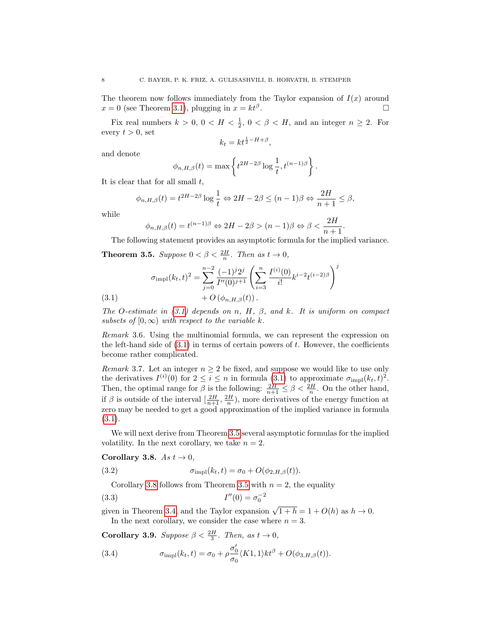<span id="page-7-6"></span>The theorem now follows immediately from the Taylor expansion of  $I(x)$  around  $x = 0$  (see Theorem [3.1\)](#page-5-1), plugging in  $x = kt^{\beta}$ . .

Fix real numbers  $k > 0$ ,  $0 < H < \frac{1}{2}$ ,  $0 < \beta < H$ , and an integer  $n \ge 2$ . For every  $t > 0$ , set

$$
k_t = kt^{\frac{1}{2} - H + \beta},
$$

and denote

$$
\phi_{n,H,\beta}(t) = \max \left\{ t^{2H-2\beta} \log \frac{1}{t}, t^{(n-1)\beta} \right\}.
$$

It is clear that for all small  $t$ ,

$$
\phi_{n,H,\beta}(t) = t^{2H-2\beta} \log \frac{1}{t} \Leftrightarrow 2H - 2\beta \le (n-1)\beta \Leftrightarrow \frac{2H}{n+1} \le \beta,
$$

while

$$
\phi_{n,H,\beta}(t) = t^{(n-1)\beta} \Leftrightarrow 2H - 2\beta > (n-1)\beta \Leftrightarrow \beta < \frac{2H}{n+1}
$$

.

 $\dot{j}$ 

<span id="page-7-1"></span>The following statement provides an asymptotic formula for the implied variance. **Theorem 3.5.** Suppose  $0 < \beta < \frac{2H}{n}$ . Then as  $t \to 0$ ,

(3.1) 
$$
\sigma_{\text{impl}}(k_t, t)^2 = \sum_{j=0}^{n-2} \frac{(-1)^j 2^j}{I''(0)^{j+1}} \left( \sum_{i=3}^n \frac{I^{(i)}(0)}{i!} k^{i-2} t^{(i-2)\beta} \right) + O\left(\phi_{n, H, \beta}(t)\right).
$$

<span id="page-7-0"></span>The O-estimate in  $(3.1)$  depends on n, H,  $\beta$ , and k. It is uniform on compact subsets of  $[0, \infty)$  with respect to the variable k.

Remark 3.6. Using the multinomial formula, we can represent the expression on the left-hand side of  $(3.1)$  in terms of certain powers of t. However, the coefficients become rather complicated.

*Remark* 3.7. Let an integer  $n \geq 2$  be fixed, and suppose we would like to use only the derivatives  $I^{(i)}(0)$  for  $2 \leq i \leq n$  in formula  $(3.1)$  to approximate  $\sigma_{\text{impl}}(k_t, t)^2$ . Then, the optimal range for  $\beta$  is the following:  $\frac{2H}{n+1} \leq \beta < \frac{2H}{n}$ . On the other hand, if  $\beta$  is outside of the interval  $\left[\frac{2H}{n+1}, \frac{2H}{n}\right)$ , more derivatives of the energy function at zero may be needed to get a good approximation of the implied variance in formula [\(3.1\)](#page-7-0).

We will next derive from Theorem [3.5](#page-7-1) several asymptotic formulas for the implied volatility. In the next corollary, we take  $n = 2$ .

### <span id="page-7-2"></span>Corollary 3.8.  $As t \rightarrow 0$ ,

(3.2) 
$$
\sigma_{\text{impl}}(k_t, t) = \sigma_0 + O(\phi_{2, H, \beta}(t)).
$$

<span id="page-7-4"></span>Corollary [3.8](#page-7-2) follows from Theorem [3.5](#page-7-1) with  $n = 2$ , the equality

(3.3) 
$$
I''(0) = \sigma_0^{-2}
$$

given in Theorem [3.4,](#page-6-0) and the Taylor expansion  $\sqrt{1+h} = 1 + O(h)$  as  $h \to 0$ . In the next corollary, we consider the case where  $n = 3$ .

<span id="page-7-3"></span>**Corollary 3.9.** Suppose  $\beta < \frac{2H}{3}$ . Then, as  $t \to 0$ ,

<span id="page-7-5"></span>(3.4) 
$$
\sigma_{\text{impl}}(k_t, t) = \sigma_0 + \rho \frac{\sigma_0'}{\sigma_0} \langle K1, 1 \rangle kt^{\beta} + O(\phi_{3, H, \beta}(t)).
$$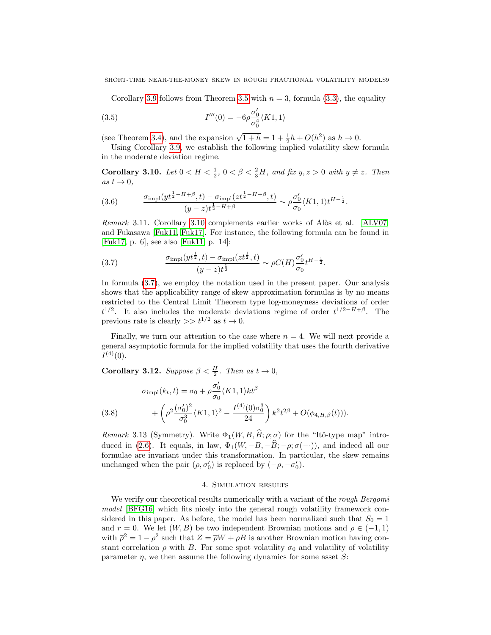<span id="page-8-4"></span>Corollary [3.9](#page-7-3) follows from Theorem [3.5](#page-7-1) with  $n = 3$ , formula [\(3.3\)](#page-7-4), the equality

(3.5) 
$$
I'''(0) = -6\rho \frac{\sigma_0'}{\sigma_0^4} \langle K1, 1 \rangle
$$

(see Theorem [3.4\)](#page-6-0), and the expansion  $\sqrt{1+h} = 1 + \frac{1}{2}h + O(h^2)$  as  $h \to 0$ .

Using Corollary [3.9,](#page-7-3) we establish the following implied volatility skew formula in the moderate deviation regime.

<span id="page-8-1"></span>Corollary 3.10. Let  $0 < H < \frac{1}{2}$ ,  $0 < \beta < \frac{2}{3}H$ , and fix  $y, z > 0$  with  $y \neq z$ . Then as  $t \to 0$ ,

(3.6) 
$$
\frac{\sigma_{\text{impl}}(yt^{\frac{1}{2}-H+\beta},t) - \sigma_{\text{impl}}(zt^{\frac{1}{2}-H+\beta},t)}{(y-z)t^{\frac{1}{2}-H+\beta}} \sim \rho \frac{\sigma'_0}{\sigma_0} \langle K1,1 \rangle t^{H-\frac{1}{2}}.
$$

Remark 3.11. Corollary [3.10](#page-8-1) complements earlier works of Alòs et al. [\[ALV07\]](#page-28-2) and Fukasawa [\[Fuk11,](#page-29-1) [Fuk17\]](#page-29-8). For instance, the following formula can be found in [\[Fuk17,](#page-29-8) p. 6], see also [\[Fuk11,](#page-29-1) p. 14]:

<span id="page-8-2"></span>(3.7) 
$$
\frac{\sigma_{\text{impl}}(yt^{\frac{1}{2}},t) - \sigma_{\text{impl}}(zt^{\frac{1}{2}},t)}{(y-z)t^{\frac{1}{2}}} \sim \rho C(H) \frac{\sigma'_0}{\sigma_0} t^{H-\frac{1}{2}}.
$$

In formula [\(3.7\)](#page-8-2), we employ the notation used in the present paper. Our analysis shows that the applicability range of skew approximation formulas is by no means restricted to the Central Limit Theorem type log-moneyness deviations of order  $t^{1/2}$ . It also includes the moderate deviations regime of order  $t^{1/2-H+\beta}$ . The previous rate is clearly  $\gg t^{1/2}$  as  $t \to 0$ .

Finally, we turn our attention to the case where  $n = 4$ . We will next provide a general asymptotic formula for the implied volatility that uses the fourth derivative  $I^{(4)}(0)$ .

<span id="page-8-3"></span>**Corollary 3.12.** Suppose  $\beta < \frac{H}{2}$ . Then as  $t \to 0$ ,

(3.8) 
$$
\sigma_{\text{impl}}(k_t, t) = \sigma_0 + \rho \frac{\sigma_0'}{\sigma_0} \langle K1, 1 \rangle kt^{\beta} + \left( \rho^2 \frac{(\sigma_0')^2}{\sigma_0^3} \langle K1, 1 \rangle^2 - \frac{I^{(4)}(0)\sigma_0^3}{24} \right) k^2 t^{2\beta} + O(\phi_{4, H, \beta}(t))).
$$

Remark 3.13 (Symmetry). Write  $\Phi_1(W, B, \widehat{B}; \rho; \sigma)$  for the "Itô-type map" intro-duced in [\(2.6\)](#page-4-4). It equals, in law,  $\Phi_1(W, -B, -\widehat{B}; -\rho; \sigma(-))$ , and indeed all our formulae are invariant under this transformation. In particular, the skew remains unchanged when the pair  $(\rho, \sigma'_0)$  is replaced by  $(-\rho, -\sigma'_0)$ .

# 4. Simulation results

<span id="page-8-0"></span>We verify our theoretical results numerically with a variant of the rough Bergomi model [\[BFG16\]](#page-28-1) which fits nicely into the general rough volatility framework considered in this paper. As before, the model has been normalized such that  $S_0 = 1$ and r = 0. We let  $(W, B)$  be two independent Brownian motions and  $\rho \in (-1, 1)$ with  $\bar{\rho}^2 = 1 - \rho^2$  such that  $Z = \bar{\rho}W + \rho B$  is another Brownian motion having constant correlation  $\rho$  with B. For some spot volatility  $\sigma_0$  and volatility of volatility parameter  $\eta$ , we then assume the following dynamics for some asset S: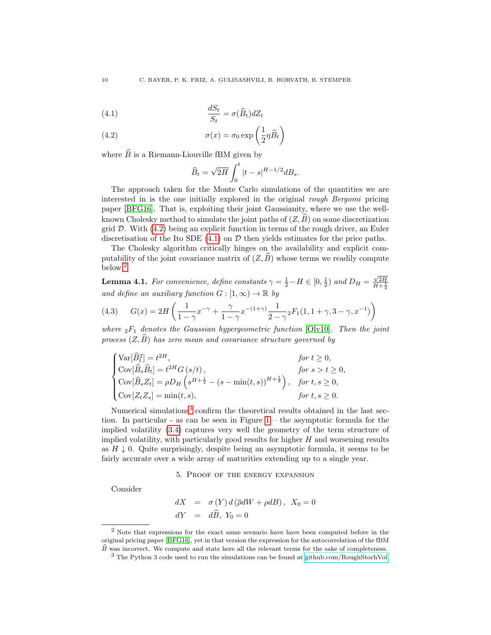<span id="page-9-2"></span>(4.1) 
$$
\frac{dS_t}{S_t} = \sigma(\widehat{B}_t)dZ_t
$$

<span id="page-9-1"></span>(4.2) 
$$
\sigma(x) = \sigma_0 \exp\left(\frac{1}{2}\eta \widehat{B}_t\right)
$$

where  $\widehat{B}$  is a Riemann-Liouville fBM given by

$$
\widehat{B}_t = \sqrt{2H} \int_0^t |t-s|^{H-1/2} dB_s.
$$

The approach taken for the Monte Carlo simulations of the quantities we are interested in is the one initially explored in the original rough Bergomi pricing paper [\[BFG16\]](#page-28-1). That is, exploiting their joint Gaussianity, where we use the wellknown Cholesky method to simulate the joint paths of  $(Z, \hat{B})$  on some discretization grid  $D$ . With  $(4.2)$  being an explicit function in terms of the rough driver, an Euler discretisation of the Ito SDE  $(4.1)$  on  $\mathcal D$  then yields estimates for the price paths.

The Cholesky algorithm critically hinges on the availability and explicit computability of the joint covariance matrix of  $(Z, \hat{B})$  whose terms we readily compute below.[2](#page-9-3)

**Lemma 4.1.** For convenience, define constants  $\gamma = \frac{1}{2} - H \in [0, \frac{1}{2})$  and  $D_H = \frac{\sqrt{2H}}{H + \frac{1}{2}}$ and define an auxiliary function  $G : [1, \infty) \to \mathbb{R}$  by

(4.3) 
$$
G(x) = 2H\left(\frac{1}{1-\gamma}x^{-\gamma} + \frac{\gamma}{1-\gamma}x^{-(1+\gamma)}\frac{1}{2-\gamma}{}_{2}F_{1}(1, 1+\gamma, 3-\gamma, x^{-1})\right)
$$

where  ${}_2F_1$  denotes the Gaussian hypergeometric function [\[Olv10\]](#page-29-19). Then the joint process  $(Z, \widehat{B})$  has zero mean and covariance structure governed by

$$
\begin{cases}\n\text{Var}[\hat{B}_t^2] = t^{2H}, & \text{for } t \ge 0, \\
\text{Cov}[\hat{B}_s \hat{B}_t] = t^{2H} G(s/t), & \text{for } s > t \ge 0, \\
\text{Cov}[\hat{B}_s Z_t] = \rho D_H \left( s^{H + \frac{1}{2}} - (s - \min(t, s))^{H + \frac{1}{2}} \right), & \text{for } t, s \ge 0, \\
\text{Cov}[Z_t Z_s] = \min(t, s), & \text{for } t, s \ge 0.\n\end{cases}
$$

Numerical simulations<sup>[3](#page-9-4)</sup> confirm the theoretical results obtained in the last section. In particular - as can be seen in Figure [1](#page-10-0) – the asymptotic formula for the implied volatility [\(3.4\)](#page-7-5) captures very well the geometry of the term structure of implied volatility, with particularly good results for higher  $H$  and worsening results as  $H \downarrow 0$ . Quite surprisingly, despite being an asymptotic formula, it seems to be fairly accurate over a wide array of maturities extending up to a single year.

5. Proof of the energy expansion

<span id="page-9-0"></span>Consider

$$
dX = \sigma(Y) d(\overline{\rho}dW + \rho dB), X_0 = 0
$$
  

$$
dY = d\widehat{B}, Y_0 = 0
$$

<span id="page-9-3"></span><sup>&</sup>lt;sup>2</sup> Note that expressions for the exact same scenario have have been computed before in the original pricing paper [\[BFG16\]](#page-28-1), yet in that version the expression for the autocorrelation of the fBM  $\widehat{B}$  was incorrect. We compute and state here all the relevant terms for the sake of completeness.

<span id="page-9-4"></span><sup>3</sup> The Python 3 code used to run the simulations can be found at [github.com/RoughStochVol.](https://github.com/RoughStochVol)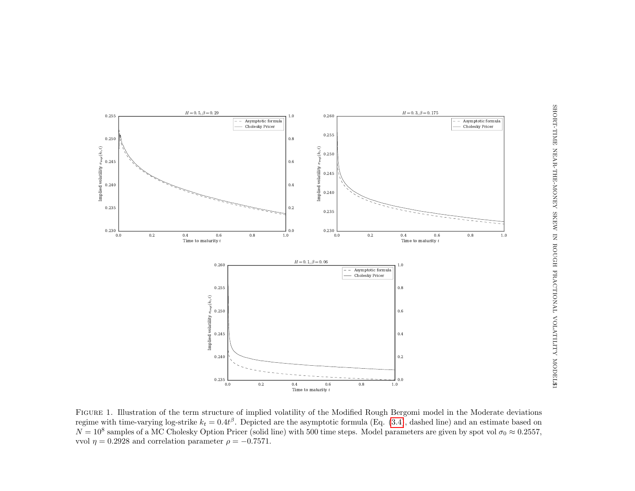

<span id="page-10-0"></span>Figure 1. Illustration of the term structure of implied volatility of the Modified Rough Bergomi model in the Moderate deviationsregime with time-varying log-strike  $k_t = 0.4t^{\beta}$ . Depicted are the asymptotic formula (Eq. [\(3.4\)](#page-7-6), dashed line) and an estimate based on  $N = 10^8$  samples of a MC Cholesky Option Pricer (solid line) with 500 time steps. Model parameters are given by spot vol  $\sigma_0 \approx 0.2557$ , vvol  $\eta = 0.2928$  and correlation parameter  $\rho = -0.7571$ .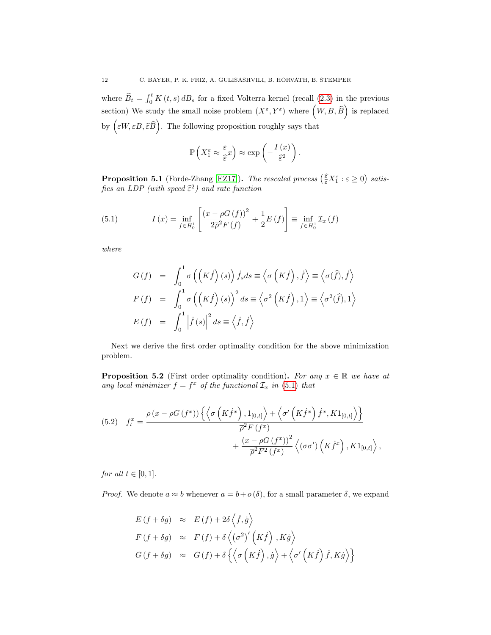where  $\widehat{B}_t = \int_0^t K(t, s) dB_s$  for a fixed Volterra kernel (recall [\(2.3\)](#page-3-1) in the previous section) We study the small noise problem  $(X^{\varepsilon}, Y^{\varepsilon})$  where  $(W, B, \widehat{B})$  is replaced by  $\left(\varepsilon W, \varepsilon B, \widehat{\varepsilon}\widehat{B}\right)$ . The following proposition roughly says that

$$
\mathbb{P}\left(X_1^{\varepsilon} \approx \frac{\varepsilon}{\hat{\varepsilon}^x}\right) \approx \exp\left(-\frac{I\left(x\right)}{\hat{\varepsilon}^2}\right).
$$

<span id="page-11-3"></span>**Proposition 5.1** (Forde-Zhang [\[FZ17\]](#page-29-9)). The rescaled process  $(\frac{\varepsilon}{\varepsilon}X_1^{\varepsilon}:\varepsilon \geq 0)$  satisfies an LDP (with speed  $\hat{\varepsilon}^2$ ) and rate function

<span id="page-11-0"></span>(5.1) 
$$
I(x) = \inf_{f \in H_0^1} \left[ \frac{(x - \rho G(f))^2}{2\overline{\rho}^2 F(f)} + \frac{1}{2} E(f) \right] \equiv \inf_{f \in H_0^1} \mathcal{I}_x(f)
$$

where

$$
G(f) = \int_0^1 \sigma\left(\left(K\dot{f}\right)(s)\right) \dot{f}_s ds \equiv \left\langle \sigma\left(K\dot{f}\right), \dot{f}\right\rangle \equiv \left\langle \sigma(\hat{f}), \dot{f}\right\rangle
$$
  
\n
$$
F(f) = \int_0^1 \sigma\left(\left(K\dot{f}\right)(s)\right)^2 ds \equiv \left\langle \sigma^2\left(K\dot{f}\right), 1\right\rangle \equiv \left\langle \sigma^2(\hat{f}), 1\right\rangle
$$
  
\n
$$
E(f) = \int_0^1 \left|\dot{f}(s)\right|^2 ds \equiv \left\langle \dot{f}, \dot{f}\right\rangle
$$

Next we derive the first order optimality condition for the above minimization problem.

<span id="page-11-1"></span>**Proposition 5.2** (First order optimality condition). For any  $x \in \mathbb{R}$  we have at any local minimizer  $f = f^x$  of the functional  $\mathcal{I}_x$  in [\(5.1\)](#page-11-0) that

<span id="page-11-2"></span>(5.2) 
$$
f_t^x = \frac{\rho(x - \rho G(f^x)) \left\{ \left\langle \sigma \left( K \dot{f}^x \right), 1_{[0,t]} \right\rangle + \left\langle \sigma' \left( K \dot{f}^x \right) \dot{f}^x, K 1_{[0,t]} \right\rangle \right\}}{\overline{\rho}^2 F(f^x)} + \frac{(x - \rho G(f^x))^2}{\overline{\rho}^2 F^2(f^x)} \left\langle (\sigma \sigma') \left( K \dot{f}^x \right), K 1_{[0,t]} \right\rangle,
$$

for all  $t \in [0, 1]$ .

*Proof.* We denote  $a \approx b$  whenever  $a = b + o(\delta)$ , for a small parameter  $\delta$ , we expand

$$
E(f + \delta g) \approx E(f) + 2\delta \langle f, \dot{g} \rangle
$$
  
\n
$$
F(f + \delta g) \approx F(f) + \delta \langle (\sigma^2)'(K\dot{f}), K\dot{g} \rangle
$$
  
\n
$$
G(f + \delta g) \approx G(f) + \delta \{ \langle \sigma (K\dot{f}), \dot{g} \rangle + \langle \sigma' (K\dot{f}), K\dot{g} \rangle \}
$$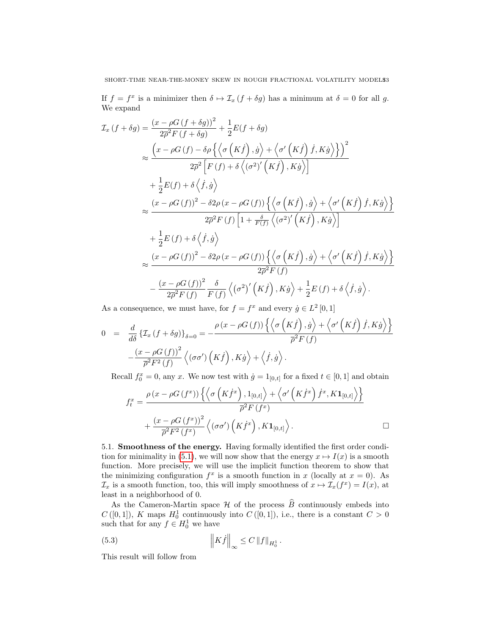If  $f = f^x$  is a minimizer then  $\delta \mapsto \mathcal{I}_x(f + \delta g)$  has a minimum at  $\delta = 0$  for all g. We expand

$$
\mathcal{I}_x \left( f + \delta g \right) = \frac{\left( x - \rho G \left( f + \delta g \right) \right)^2}{2\overline{\rho}^2 F \left( f + \delta g \right)} + \frac{1}{2} E(f + \delta g)
$$
\n
$$
\approx \frac{\left( x - \rho G \left( f \right) - \delta \rho \left\{ \left\langle \sigma \left( K \dot{f} \right), \dot{g} \right\rangle + \left\langle \sigma' \left( K \dot{f} \right), K \dot{g} \right\rangle \right\} \right)^2}{2\overline{\rho}^2 \left[ F \left( f \right) + \delta \left\langle (\sigma^2)' \left( K \dot{f} \right), K \dot{g} \right\rangle \right]}
$$
\n
$$
+ \frac{1}{2} E(f) + \delta \left\langle \dot{f}, \dot{g} \right\rangle
$$
\n
$$
\approx \frac{\left( x - \rho G \left( f \right) \right)^2 - \delta 2 \rho \left( x - \rho G \left( f \right) \right) \left\{ \left\langle \sigma \left( K \dot{f} \right), \dot{g} \right\rangle + \left\langle \sigma' \left( K \dot{f} \right) \dot{f}, K \dot{g} \right\rangle \right\} \right\}
$$
\n
$$
+ \frac{1}{2} E \left( f \right) + \delta \left\langle \dot{f}, \dot{g} \right\rangle
$$
\n
$$
+ \frac{1}{2} E \left( f \right) + \delta \left\langle \dot{f}, \dot{g} \right\rangle
$$
\n
$$
\approx \frac{\left( x - \rho G \left( f \right) \right)^2 - \delta 2 \rho \left( x - \rho G \left( f \right) \right) \left\{ \left\langle \sigma \left( K \dot{f} \right), \dot{g} \right\rangle + \left\langle \sigma' \left( K \dot{f} \right) \dot{f}, K \dot{g} \right\rangle \right\}}{2\overline{\rho}^2 F \left( f \right)}
$$
\n
$$
- \frac{\left( x - \rho G \left( f \right) \right)^2}{2\overline{\rho}^2 F \left( f \right)} \frac{\delta}{F \left( f \right)} \left\langle (\sigma^2)' \left( K \dot{f} \right), \dot{g} \right\rangle + \frac{1}{2} E \left( f \right) + \
$$

As a consequence, we must have, for  $f = f^x$  and every  $\dot{g} \in L^2[0,1]$ 

$$
0 = \frac{d}{d\delta} \left\{ \mathcal{I}_x \left( f + \delta g \right) \right\}_{\delta=0} = -\frac{\rho \left( x - \rho G \left( f \right) \right) \left\{ \left\langle \sigma \left( K \dot{f} \right), \dot{g} \right\rangle + \left\langle \sigma' \left( K \dot{f} \right) \dot{f}, K \dot{g} \right\rangle \right\}}{\overline{\rho}^2 F \left( f \right)} -\frac{\left( x - \rho G \left( f \right) \right)^2}{\overline{\rho}^2 F^2 \left( f \right)} \left\langle \left( \sigma \sigma' \right) \left( K \dot{f} \right), K \dot{g} \right\rangle + \left\langle \dot{f}, \dot{g} \right\rangle.
$$

Recall  $f_0^x = 0$ , any x. We now test with  $\dot{g} = 1_{[0,t]}$  for a fixed  $t \in [0,1]$  and obtain

$$
f_t^x = \frac{\rho (x - \rho G(f^x)) \left\{ \left\langle \sigma \left( K \dot{f}^x \right), 1_{[0,t]} \right\rangle + \left\langle \sigma' \left( K \dot{f}^x \right) \dot{f}^x, K \mathbf{1}_{[0,t]} \right\rangle \right\}}{\overline{\rho}^2 F(f^x)} + \frac{(x - \rho G(f^x))^2}{\overline{\rho}^2 F^2(f^x)} \left\langle (\sigma \sigma') \left( K \dot{f}^x \right), K \mathbf{1}_{[0,t]} \right\rangle.
$$

<span id="page-12-0"></span>5.1. Smoothness of the energy. Having formally identified the first order condi-tion for minimality in [\(5.1\)](#page-11-0), we will now show that the energy  $x \mapsto I(x)$  is a smooth function. More precisely, we will use the implicit function theorem to show that the minimizing configuration  $f^x$  is a smooth function in x (locally at  $x = 0$ ). As  $\mathcal{I}_x$  is a smooth function, too, this will imply smoothness of  $x \mapsto \mathcal{I}_x(f^x) = I(x)$ , at least in a neighborhood of 0.

As the Cameron-Martin space  $\mathcal H$  of the process  $\widehat B$  continuously embeds into  $C([0,1])$ , K maps  $H_0^1$  continuously into  $C([0,1])$ , i.e., there is a constant  $C > 0$ such that for any  $f \in H_0^1$  we have

(5.3) 
$$
\left\|K\dot{f}\right\|_{\infty} \leq C \left\|f\right\|_{H_0^1}.
$$

This result will follow from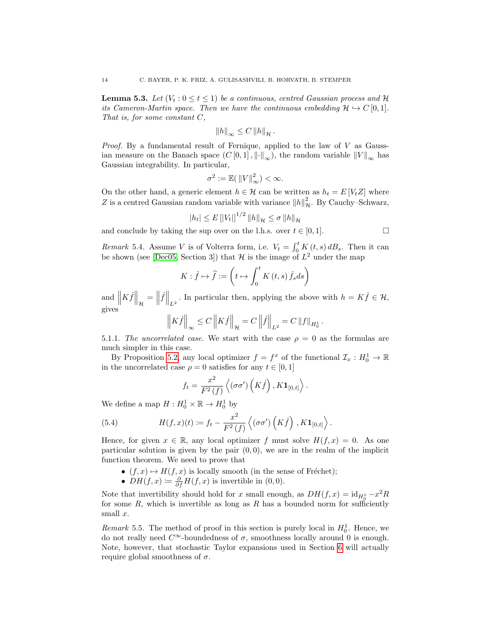<span id="page-13-0"></span>**Lemma 5.3.** Let  $(V_t: 0 \le t \le 1)$  be a continuous, centred Gaussian process and H its Cameron-Martin space. Then we have the continuous embedding  $\mathcal{H} \hookrightarrow C[0,1].$ That is, for some constant  $C$ ,

$$
||h||_{\infty} \leq C ||h||_{\mathcal{H}}.
$$

*Proof.* By a fundamental result of Fernique, applied to the law of  $V$  as Gaussian measure on the Banach space  $(C[0,1], \|\cdot\|_{\infty})$ , the random variable  $||V||_{\infty}$  has Gaussian integrability. In particular,

$$
\sigma^2 := \mathbb{E}(\left\|V\right\|_{\infty}^2) < \infty.
$$

On the other hand, a generic element  $h \in \mathcal{H}$  can be written as  $h_t = E[V_t Z]$  where Z is a centred Gaussian random variable with variance  $||h||^2_{\mathcal{H}}$ . By Cauchy–Schwarz,

$$
|h_t| \leq E\left[|V_t|\right]^{1/2} \|h\|_{\mathcal{H}} \leq \sigma \|h\|_{\mathcal{H}}
$$

and conclude by taking the sup over on the l.h.s. over  $t \in [0, 1]$ .

$$
\Box
$$

<span id="page-13-1"></span>*Remark* 5.4. Assume *V* is of Volterra form, i.e.  $V_t = \int_0^t K(t, s) dB_s$ . Then it can be shown (see [\[Dec05,](#page-28-11) Section 3]) that  $\mathcal H$  is the image of  $L^2$  under the map

$$
K: \dot{f} \mapsto \hat{f} := \left(t \mapsto \int_0^t K(t, s) \dot{f}_s ds\right)
$$

and  $\left\| K \dot{f} \right\|_{\mathcal{H}} = \left\| \dot{f} \right\|_{L^2}$ . In particular then, applying the above with  $h = K \dot{f} \in \mathcal{H}$ , gives

$$
\left\| K \dot{f} \right\|_{\infty} \leq C \left\| K \dot{f} \right\|_{\mathcal{H}} = C \left\| \dot{f} \right\|_{L^2} = C \left\| f \right\|_{H_0^1}.
$$

5.1.1. The uncorrelated case. We start with the case  $\rho = 0$  as the formulas are much simpler in this case.

By Proposition [5.2,](#page-11-1) any local optimizer  $f = f^x$  of the functional  $\mathcal{I}_x : H_0^1 \to \mathbb{R}$ in the uncorrelated case  $\rho = 0$  satisfies for any  $t \in [0, 1]$ 

$$
f_t = \frac{x^2}{F^2(f)} \left\langle (\sigma \sigma') \left( K \dot{f} \right), K \mathbf{1}_{[0,t]} \right\rangle.
$$

We define a map  $H: H_0^1 \times \mathbb{R} \to H_0^1$  by

(5.4) 
$$
H(f,x)(t) \coloneqq f_t - \frac{x^2}{F^2(f)} \left\langle (\sigma \sigma') \left( K \dot{f} \right), K \mathbf{1}_{[0,t]} \right\rangle.
$$

Hence, for given  $x \in \mathbb{R}$ , any local optimizer f must solve  $H(f, x) = 0$ . As one particular solution is given by the pair  $(0, 0)$ , we are in the realm of the implicit function theorem. We need to prove that

- $(f, x) \mapsto H(f, x)$  is locally smooth (in the sense of Fréchet);
- $DH(f, x) \coloneqq \frac{\partial}{\partial f} H(f, x)$  is invertible in  $(0, 0)$ .

Note that invertibility should hold for x small enough, as  $DH(f, x) = id_{H_0^1} - x^2 R$ for some R, which is invertible as long as R has a bounded norm for sufficiently small x.

Remark 5.5. The method of proof in this section is purely local in  $H_0^1$ . Hence, we do not really need  $C^{\infty}$ -boundedness of  $\sigma$ , smoothness locally around 0 is enough. Note, however, that stochastic Taylor expansions used in Section [6](#page-21-0) will actually require global smoothness of  $\sigma$ .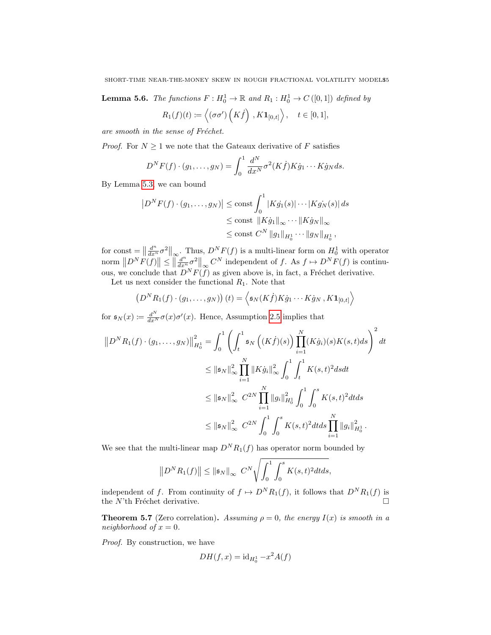**Lemma 5.6.** The functions  $F: H_0^1 \to \mathbb{R}$  and  $R_1: H_0^1 \to C([0,1])$  defined by

$$
R_1(f)(t) := \langle (\sigma \sigma')\left(K\dot{f}\right), K\mathbf{1}_{[0,t]} \rangle, \quad t \in [0,1],
$$

are smooth in the sense of Fréchet.

*Proof.* For  $N \geq 1$  we note that the Gateaux derivative of F satisfies

$$
D^N F(f) \cdot (g_1, \dots, g_N) = \int_0^1 \frac{d^N}{dx^N} \sigma^2(K\dot{f}) K \dot{g}_1 \cdots K \dot{g}_N ds.
$$

By Lemma [5.3,](#page-13-0) we can bound

$$
|D^N F(f) \cdot (g_1, ..., g_N)| \le \text{const} \int_0^1 |K g_1(s)| \cdots |K g_N(s)| ds
$$
  

$$
\le \text{const} ||K \dot{g}_1||_{\infty} \cdots ||K \dot{g}_N||_{\infty}
$$
  

$$
\le \text{const} C^N ||g_1||_{H_0^1} \cdots ||g_N||_{H_0^1},
$$

for const  $=\left\|\frac{d^n}{dx^n}\sigma^2\right\|_{\infty}$ . Thus,  $D^N F(f)$  is a multi-linear form on  $H_0^1$  with operator norm  $||D^N F(f)|| \leq ||\frac{d^n}{dx^n} \sigma^2||_{\infty} C^N$  independent of f. As  $f \mapsto D^N F(f)$  is continuous, we conclude that  $D^N F(f)$  as given above is, in fact, a Fréchet derivative.

Let us next consider the functional  $R_1$ . Note that

$$
(DNR1(f) \cdot (g1,...,gN))(t) = \langle \mathfrak{s}N(K\dot{f})K\dot{g}1...K\dot{g}N, K\mathbf{1}_{[0,t]}\rangle
$$

for  $\mathfrak{s}_N(x) := \frac{d^N}{dx^N} \sigma(x) \sigma'(x)$ . Hence, Assumption [2.5](#page-4-1) implies that

$$
\|D^N R_1(f) \cdot (g_1, \dots, g_N)\|_{H_0^1}^2 = \int_0^1 \left( \int_t^1 \mathfrak{s}_N \left( (K \dot{f})(s) \right) \prod_{i=1}^N (K \dot{g}_i)(s) K(s, t) ds \right)^2 dt
$$
  

$$
\leq \|\mathfrak{s}_N\|_{\infty}^2 \prod_{i=1}^N \|K \dot{g}_i\|_{\infty}^2 \int_0^1 \int_t^1 K(s, t)^2 ds dt
$$
  

$$
\leq \|\mathfrak{s}_N\|_{\infty}^2 C^{2N} \prod_{i=1}^N \|g_i\|_{H_0^1}^2 \int_0^1 \int_0^s K(s, t)^2 dt ds
$$
  

$$
\leq \|\mathfrak{s}_N\|_{\infty}^2 C^{2N} \int_0^1 \int_0^s K(s, t)^2 dt ds \prod_{i=1}^N \|g_i\|_{H_0^1}^2.
$$

We see that the multi-linear map  $D^N R_1(f)$  has operator norm bounded by

$$
||D^{N}R_{1}(f)|| \le ||\mathfrak{s}_{N}||_{\infty} C^{N} \sqrt{\int_{0}^{1} \int_{0}^{s} K(s,t)^{2} dt ds},
$$

independent of f. From continuity of  $f \mapsto D^N R_1(f)$ , it follows that  $D^N R_1(f)$  is the N'th Fréchet derivative.  $\square$ 

<span id="page-14-0"></span>**Theorem 5.7** (Zero correlation). Assuming  $\rho = 0$ , the energy  $I(x)$  is smooth in a neighborhood of  $x = 0$ .

Proof. By construction, we have

$$
DH(f, x) = id_{H_0^1} - x^2 A(f)
$$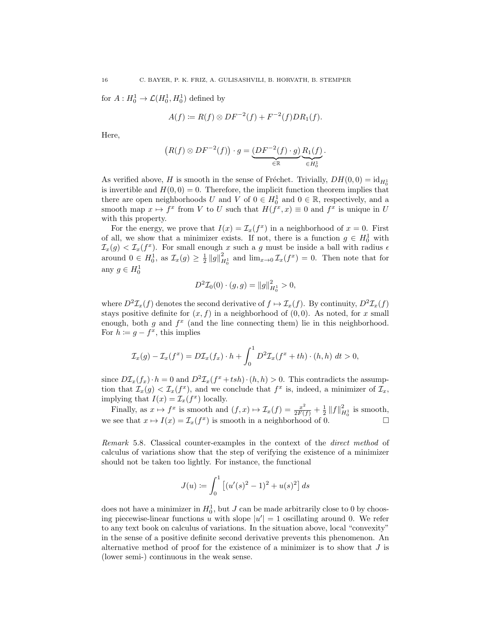for  $A: H_0^1 \to \mathcal{L}(H_0^1, H_0^1)$  defined by

$$
A(f) := R(f) \otimes DF^{-2}(f) + F^{-2}(f)DR_1(f).
$$

Here,

$$
(R(f) \otimes DF^{-2}(f)) \cdot g = \underbrace{(DF^{-2}(f) \cdot g)}_{\in \mathbb{R}} \underbrace{R_1(f)}_{\in H_0^1}.
$$

As verified above, H is smooth in the sense of Fréchet. Trivially,  $DH(0, 0) = id_{H_0}$ is invertible and  $H(0,0) = 0$ . Therefore, the implicit function theorem implies that there are open neighborhoods U and V of  $0 \in H_0^1$  and  $0 \in \mathbb{R}$ , respectively, and a smooth map  $x \mapsto f^x$  from V to U such that  $H(f^x, x) \equiv 0$  and  $f^x$  is unique in U with this property.

For the energy, we prove that  $I(x) = \mathcal{I}_x(f^x)$  in a neighborhood of  $x = 0$ . First of all, we show that a minimizer exists. If not, there is a function  $g \in H_0^1$  with  $\mathcal{I}_x(g) < \mathcal{I}_x(f^x)$ . For small enough x such a g must be inside a ball with radius  $\epsilon$ around  $0 \in H_0^1$ , as  $\mathcal{I}_x(g) \geq \frac{1}{2} ||g||_{H_0^1}^2$  and  $\lim_{x\to 0} \mathcal{I}_x(f^x) = 0$ . Then note that for any  $g \in H_0^1$ 

$$
D^2 \mathcal{I}_0(0) \cdot (g, g) = ||g||_{H_0^1}^2 > 0,
$$

where  $D^2 \mathcal{I}_x(f)$  denotes the second derivative of  $f \mapsto \mathcal{I}_x(f)$ . By continuity,  $D^2 \mathcal{I}_x(f)$ stays positive definite for  $(x, f)$  in a neighborhood of  $(0, 0)$ . As noted, for x small enough, both  $g$  and  $f^x$  (and the line connecting them) lie in this neighborhood. For  $h \coloneqq g - f^x$ , this implies

$$
\mathcal{I}_x(g) - \mathcal{I}_x(f^x) = D\mathcal{I}_x(f_x) \cdot h + \int_0^1 D^2 \mathcal{I}_x(f^x + th) \cdot (h, h) \, dt > 0,
$$

since  $D\mathcal{I}_x(f_x) \cdot h = 0$  and  $D^2\mathcal{I}_x(f^x + tsh) \cdot (h, h) > 0$ . This contradicts the assumption that  $\mathcal{I}_x(g) < \mathcal{I}_x(f^x)$ , and we conclude that  $f^x$  is, indeed, a minimizer of  $\mathcal{I}_x$ , implying that  $I(x) = \mathcal{I}_x(f^x)$  locally.

Finally, as  $x \mapsto f^x$  is smooth and  $(f, x) \mapsto \mathcal{I}_x(f) = \frac{x^2}{2F(f)} + \frac{1}{2} ||f||_{H_0^1}^2$  is smooth, we see that  $x \mapsto I(x) = \mathcal{I}_x(f^x)$  is smooth in a neighborhood of 0.

Remark 5.8. Classical counter-examples in the context of the direct method of calculus of variations show that the step of verifying the existence of a minimizer should not be taken too lightly. For instance, the functional

$$
J(u) := \int_0^1 \left[ (u'(s)^2 - 1)^2 + u(s)^2 \right] ds
$$

does not have a minimizer in  $H_0^1$ , but J can be made arbitrarily close to 0 by choosing piecewise-linear functions u with slope  $|u'| = 1$  oscillating around 0. We refer to any text book on calculus of variations. In the situation above, local "convexity" in the sense of a positive definite second derivative prevents this phenomenon. An alternative method of proof for the existence of a minimizer is to show that  $J$  is (lower semi-) continuous in the weak sense.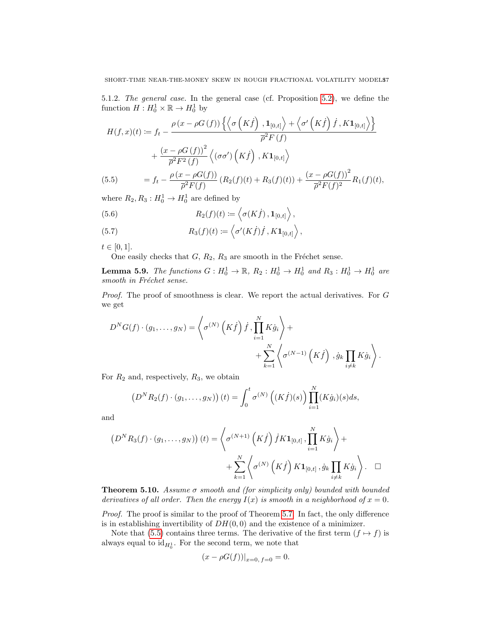5.1.2. The general case. In the general case (cf. Proposition [5.2\)](#page-11-1), we define the function  $H: H_0^1 \times \mathbb{R} \to H_0^1$  by

$$
H(f, x)(t) := f_t - \frac{\rho(x - \rho G(f)) \left\{ \left\langle \sigma \left( K \dot{f} \right), \mathbf{1}_{[0, t]} \right\rangle + \left\langle \sigma' \left( K \dot{f} \right) \dot{f}, K \mathbf{1}_{[0, t]} \right\rangle \right\}}{\overline{\rho}^2 F(f)} + \frac{(x - \rho G(f))^2}{\overline{\rho}^2 F^2(f)} \left\langle (\sigma \sigma') \left( K \dot{f} \right), K \mathbf{1}_{[0, t]} \right\rangle = f_t - \frac{\rho(x - \rho G(f))}{\overline{\rho}^2 F(f)} \left( R_2(f)(t) + R_3(f)(t) \right) + \frac{(x - \rho G(f))^2}{\overline{\rho}^2 F(f)^2} R_1(f)(t),
$$

<span id="page-16-1"></span>where  $R_2, R_3: H_0^1 \to H_0^1$  are defined by

(5.6) 
$$
R_2(f)(t) := \langle \sigma(K\dot{f}), \mathbf{1}_{[0,t]} \rangle,
$$

(5.7) 
$$
R_3(f)(t) := \left\langle \sigma'(K\dot{f})\dot{f}, K\mathbf{1}_{[0,t]} \right\rangle,
$$

 $t \in [0, 1].$ 

One easily checks that  $G, R_2, R_3$  are smooth in the Fréchet sense.

**Lemma 5.9.** The functions  $G: H_0^1 \to \mathbb{R}$ ,  $R_2: H_0^1 \to H_0^1$  and  $R_3: H_0^1 \to H_0^1$  are  $smooth$  in Fréchet sense.

Proof. The proof of smoothness is clear. We report the actual derivatives. For G we get

$$
D^{N}G(f) \cdot (g_{1}, \ldots, g_{N}) = \left\langle \sigma^{(N)}\left(K\dot{f}\right)\dot{f}, \prod_{i=1}^{N} K\dot{g}_{i}\right\rangle + \left\langle \sigma^{(N-1)}\left(K\dot{f}\right), \dot{g}_{k}\prod_{i \neq k} K\dot{g}_{i}\right\rangle.
$$

For  $R_2$  and, respectively,  $R_3$ , we obtain

$$
(D^N R_2(f) \cdot (g_1, \ldots, g_N)) (t) = \int_0^t \sigma^{(N)} \left( (K \dot{f})(s) \right) \prod_{i=1}^N (K \dot{g}_i)(s) ds,
$$

and

$$
(DNR3(f) \cdot (g1,...,gN))(t) = \left\langle \sigma(N+1) (K\dot{f}) \dot{f} K \mathbf{1}_{[0,t]}, \prod_{i=1}^{N} K\dot{g}_i \right\rangle + + \sum_{k=1}^{N} \left\langle \sigma(N) (K\dot{f}) K \mathbf{1}_{[0,t]}, \dot{g}_k \prod_{i \neq k} K\dot{g}_i \right\rangle. \square
$$

<span id="page-16-0"></span>**Theorem 5.10.** Assume  $\sigma$  smooth and (for simplicity only) bounded with bounded derivatives of all order. Then the energy  $I(x)$  is smooth in a neighborhood of  $x = 0$ .

Proof. The proof is similar to the proof of Theorem [5.7.](#page-14-0) In fact, the only difference is in establishing invertibility of  $DH(0, 0)$  and the existence of a minimizer.

Note that [\(5.5\)](#page-16-1) contains three terms. The derivative of the first term  $(f \mapsto f)$  is always equal to  $id_{H_0^1}$ . For the second term, we note that

$$
(x - \rho G(f))|_{x=0, f=0} = 0.
$$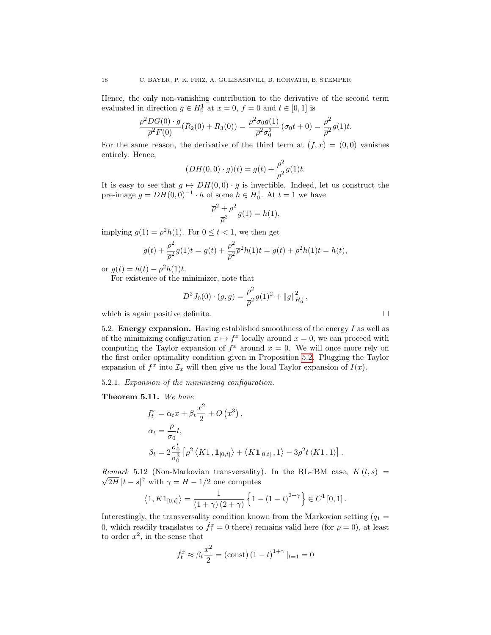Hence, the only non-vanishing contribution to the derivative of the second term evaluated in direction  $g \in H_0^1$  at  $x = 0$ ,  $f = 0$  and  $t \in [0, 1]$  is

$$
\frac{\rho^2 DG(0) \cdot g}{\overline{\rho}^2 F(0)} (R_2(0) + R_3(0)) = \frac{\rho^2 \sigma_0 g(1)}{\overline{\rho}^2 \sigma_0^2} (\sigma_0 t + 0) = \frac{\rho^2}{\overline{\rho}^2} g(1)t.
$$

For the same reason, the derivative of the third term at  $(f, x) = (0, 0)$  vanishes entirely. Hence,

$$
(DH(0,0)\cdot g)(t) = g(t) + \frac{\rho^2}{\overline{\rho}^2}g(1)t.
$$

It is easy to see that  $g \mapsto DH(0, 0) \cdot g$  is invertible. Indeed, let us construct the pre-image  $g = DH(0,0)^{-1} \cdot h$  of some  $h \in H_0^1$ . At  $t = 1$  we have

$$
\frac{\overline{\rho}^2 + \rho^2}{\overline{\rho}^2} g(1) = h(1),
$$

implying  $g(1) = \overline{\rho}^2 h(1)$ . For  $0 \le t < 1$ , we then get

$$
g(t) + \frac{\rho^2}{\overline{\rho}^2} g(1)t = g(t) + \frac{\rho^2}{\overline{\rho}^2} \overline{\rho}^2 h(1)t = g(t) + \rho^2 h(1)t = h(t),
$$

or  $g(t) = h(t) - \rho^2 h(1)t$ .

For existence of the minimizer, note that

$$
D^{2}J_{0}(0)\cdot(g,g) = \frac{\rho^{2}}{\overline{\rho}^{2}}g(1)^{2} + ||g||_{H_{0}^{1}}^{2},
$$

which is again positive definite.  $\Box$ 

<span id="page-17-0"></span>5.2. Energy expansion. Having established smoothness of the energy  $I$  as well as of the minimizing configuration  $x \mapsto f^x$  locally around  $x = 0$ , we can proceed with computing the Taylor expansion of  $f^x$  around  $x = 0$ . We will once more rely on the first order optimality condition given in Proposition [5.2.](#page-11-1) Plugging the Taylor expansion of  $f^x$  into  $\mathcal{I}_x$  will then give us the local Taylor expansion of  $I(x)$ .

5.2.1. Expansion of the minimizing configuration.

<span id="page-17-1"></span>Theorem 5.11. We have

$$
f_t^x = \alpha_t x + \beta_t \frac{x^2}{2} + O(x^3),
$$
  
\n
$$
\alpha_t = \frac{\rho}{\sigma_0} t,
$$
  
\n
$$
\beta_t = 2 \frac{\sigma'_0}{\sigma_0^3} \left[ \rho^2 \left\langle K1, \mathbf{1}_{[0,t]} \right\rangle + \left\langle K \mathbf{1}_{[0,t]}, 1 \right\rangle - 3 \rho^2 t \left\langle K1, 1 \right\rangle \right].
$$

Remark 5.12 (Non-Markovian transversality). In the RL-fBM case,  $K(t,s) =$  $2\overline{H}\,|t-s|^\gamma$  with  $\gamma = H - 1/2$  one computes

$$
\langle 1, K1_{[0,t]} \rangle = \frac{1}{(1+\gamma)(2+\gamma)} \left\{ 1 - (1-t)^{2+\gamma} \right\} \in C^1[0,1].
$$

Interestingly, the transversality condition known from the Markovian setting  $(q_1 =$ 0, which readily translates to  $f_1^x = 0$  there) remains valid here (for  $\rho = 0$ ), at least to order  $x^2$ , in the sense that

$$
\dot{f}_t^x \approx \beta_t \frac{x^2}{2} = (\text{const}) (1 - t)^{1 + \gamma} |_{t=1} = 0
$$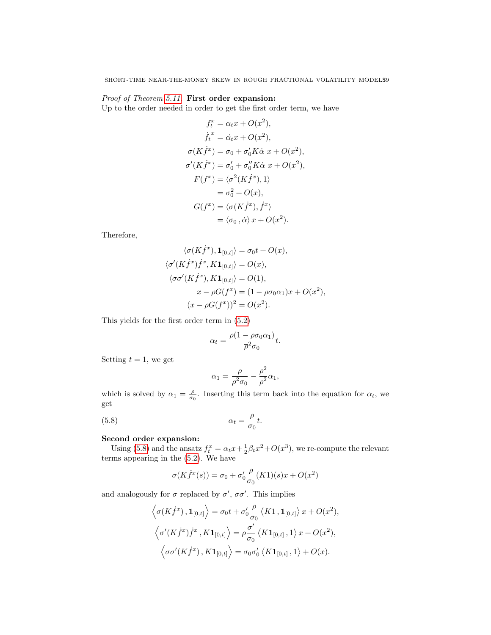# Proof of Theorem [5.11.](#page-17-1) First order expansion:

Up to the order needed in order to get the first order term, we have

$$
f_t^x = \alpha_t x + O(x^2),
$$
  
\n
$$
\dot{f}_t^x = \dot{\alpha}_t x + O(x^2),
$$
  
\n
$$
\sigma(K\dot{f}^x) = \sigma_0 + \sigma'_0 K \dot{\alpha} x + O(x^2),
$$
  
\n
$$
\sigma'(K\dot{f}^x) = \sigma'_0 + \sigma''_0 K \dot{\alpha} x + O(x^2),
$$
  
\n
$$
F(f^x) = \langle \sigma^2(K\dot{f}^x), 1 \rangle
$$
  
\n
$$
= \sigma_0^2 + O(x),
$$
  
\n
$$
G(f^x) = \langle \sigma(K\dot{f}^x), \dot{f}^x \rangle
$$
  
\n
$$
= \langle \sigma_0, \dot{\alpha} \rangle x + O(x^2).
$$

Therefore,

$$
\langle \sigma(K\dot{f}^x), \mathbf{1}_{[0,t]} \rangle = \sigma_0 t + O(x),
$$
  

$$
\langle \sigma'(K\dot{f}^x)\dot{f}^x, K\mathbf{1}_{[0,t]} \rangle = O(x),
$$
  

$$
\langle \sigma\sigma'(K\dot{f}^x), K\mathbf{1}_{[0,t]} \rangle = O(1),
$$
  

$$
x - \rho G(f^x) = (1 - \rho\sigma_0\alpha_1)x + O(x^2),
$$
  

$$
(x - \rho G(f^x))^2 = O(x^2).
$$

This yields for the first order term in [\(5.2\)](#page-11-2)

$$
\alpha_t = \frac{\rho(1 - \rho \sigma_0 \alpha_1)}{\overline{\rho}^2 \sigma_0} t.
$$

Setting  $t = 1$ , we get

<span id="page-18-0"></span>
$$
\alpha_1 = \frac{\rho}{\overline{\rho}^2 \sigma_0} - \frac{\rho^2}{\overline{\rho}^2} \alpha_1,
$$

which is solved by  $\alpha_1 = \frac{\rho}{\sigma_0}$ . Inserting this term back into the equation for  $\alpha_t$ , we get

(5.8) 
$$
\alpha_t = \frac{\rho}{\sigma_0} t.
$$

# Second order expansion:

Using [\(5.8\)](#page-18-0) and the ansatz  $f_t^x = \alpha_t x + \frac{1}{2}\beta_t x^2 + O(x^3)$ , we re-compute the relevant terms appearing in the [\(5.2\)](#page-11-2). We have

$$
\sigma(K\dot{f}^x(s)) = \sigma_0 + \sigma'_0 \frac{\rho}{\sigma_0} (K1)(s)x + O(x^2)
$$

and analogously for  $\sigma$  replaced by  $\sigma'$ ,  $\sigma\sigma'$ . This implies

$$
\left\langle \sigma(K\dot{f}^x), \mathbf{1}_{[0,t]} \right\rangle = \sigma_0 t + \sigma'_0 \frac{\rho}{\sigma_0} \left\langle K1, \mathbf{1}_{[0,t]} \right\rangle x + O(x^2),
$$
  

$$
\left\langle \sigma'(K\dot{f}^x)\dot{f}^x, K\mathbf{1}_{[0,t]} \right\rangle = \rho \frac{\sigma'}{\sigma_0} \left\langle K\mathbf{1}_{[0,t]}, 1 \right\rangle x + O(x^2),
$$
  

$$
\left\langle \sigma\sigma'(K\dot{f}^x), K\mathbf{1}_{[0,t]} \right\rangle = \sigma_0 \sigma'_0 \left\langle K\mathbf{1}_{[0,t]}, 1 \right\rangle + O(x).
$$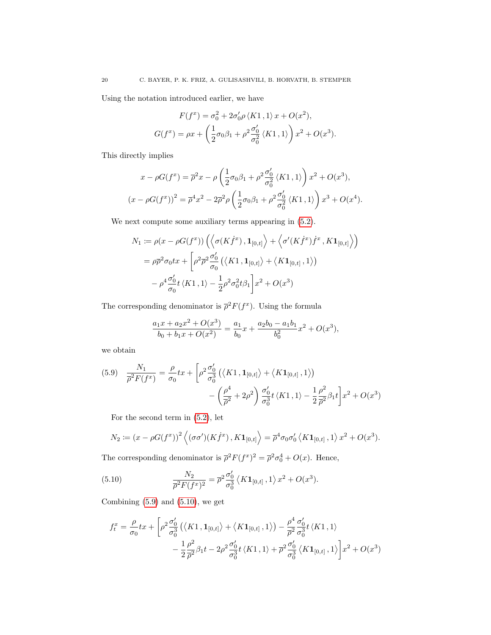Using the notation introduced earlier, we have

$$
F(f^x) = \sigma_0^2 + 2\sigma_0' \rho \langle K1, 1 \rangle x + O(x^2),
$$
  

$$
G(f^x) = \rho x + \left(\frac{1}{2}\sigma_0 \beta_1 + \rho^2 \frac{\sigma_0'}{\sigma_0^2} \langle K1, 1 \rangle\right) x^2 + O(x^3).
$$

This directly implies

$$
x - \rho G(f^x) = \overline{\rho}^2 x - \rho \left( \frac{1}{2} \sigma_0 \beta_1 + \rho^2 \frac{\sigma_0'}{\sigma_0^2} \langle K1, 1 \rangle \right) x^2 + O(x^3),
$$
  

$$
(x - \rho G(f^x))^2 = \overline{\rho}^4 x^2 - 2\overline{\rho}^2 \rho \left( \frac{1}{2} \sigma_0 \beta_1 + \rho^2 \frac{\sigma_0'}{\sigma_0^2} \langle K1, 1 \rangle \right) x^3 + O(x^4).
$$

We next compute some auxiliary terms appearing in  $(5.2)$ .

$$
N_1 := \rho(x - \rho G(f^x)) \left( \left\langle \sigma(K\dot{f}^x), \mathbf{1}_{[0,t]} \right\rangle + \left\langle \sigma'(K\dot{f}^x)\dot{f}^x, K\mathbf{1}_{[0,t]} \right\rangle \right)
$$
  
=  $\rho \overline{\rho}^2 \sigma_0 tx + \left[ \rho^2 \overline{\rho}^2 \frac{\sigma'_0}{\sigma_0} \left( \left\langle K1, \mathbf{1}_{[0,t]} \right\rangle + \left\langle K\mathbf{1}_{[0,t]}, 1 \right\rangle \right) - \rho^4 \frac{\sigma'_0}{\sigma_0} t \left\langle K1, 1 \right\rangle - \frac{1}{2} \rho^2 \sigma_0^2 t \beta_1 \right] x^2 + O(x^3)$ 

The corresponding denominator is  $\bar{\rho}^2 F(f^x)$ . Using the formula

$$
\frac{a_1x + a_2x^2 + O(x^3)}{b_0 + b_1x + O(x^2)} = \frac{a_1}{b_0}x + \frac{a_2b_0 - a_1b_1}{b_0^2}x^2 + O(x^3),
$$

we obtain

<span id="page-19-0"></span>
$$
(5.9) \quad \frac{N_1}{\overline{\rho}^2 F(f^x)} = \frac{\rho}{\sigma_0} t x + \left[ \rho^2 \frac{\sigma_0'}{\sigma_0^3} \left( \langle K1, \mathbf{1}_{[0,t]} \rangle + \langle K \mathbf{1}_{[0,t]}, 1 \rangle \right) - \left( \frac{\rho^4}{\overline{\rho}^2} + 2\rho^2 \right) \frac{\sigma_0'}{\sigma_0^3} t \langle K1, 1 \rangle - \frac{1}{2} \frac{\rho^2}{\overline{\rho}^2} \beta_1 t \right] x^2 + O(x^3)
$$

For the second term in [\(5.2\)](#page-11-2), let

$$
N_2 := (x - \rho G(f^x))^2 \langle (\sigma \sigma')(K\dot{f}^x), K\mathbf{1}_{[0,t]} \rangle = \overline{\rho}^4 \sigma_0 \sigma'_0 \langle K\mathbf{1}_{[0,t]}, 1 \rangle x^2 + O(x^3).
$$

The corresponding denominator is  $\bar{\rho}^2 F(f^x)^2 = \bar{\rho}^2 \sigma_0^4 + O(x)$ . Hence,

<span id="page-19-1"></span>(5.10) 
$$
\frac{N_2}{\overline{\rho}^2 F(f^x)^2} = \overline{\rho}^2 \frac{\sigma'_0}{\sigma_0^3} \langle K \mathbf{1}_{[0,t]}, 1 \rangle x^2 + O(x^3).
$$

Combining  $(5.9)$  and  $(5.10)$ , we get

$$
f_t^x = \frac{\rho}{\sigma_0} t x + \left[ \rho^2 \frac{\sigma'_0}{\sigma_0^3} \left( \langle K1, \mathbf{1}_{[0,t]} \rangle + \langle K \mathbf{1}_{[0,t]}, 1 \rangle \right) - \frac{\rho^4}{\overline{\rho}^2} \frac{\sigma'_0}{\sigma_0^3} t \langle K1, 1 \rangle \right. \\
\left. - \frac{1}{2} \frac{\rho^2}{\overline{\rho}^2} \beta_1 t - 2 \rho^2 \frac{\sigma'_0}{\sigma_0^3} t \langle K1, 1 \rangle + \overline{\rho}^2 \frac{\sigma'_0}{\sigma_0^3} \langle K \mathbf{1}_{[0,t]}, 1 \rangle \right] x^2 + O(x^3)
$$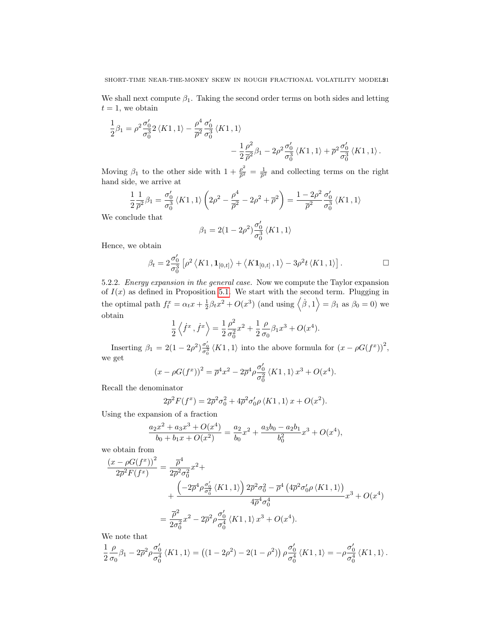We shall next compute  $\beta_1$ . Taking the second order terms on both sides and letting  $t = 1$ , we obtain

$$
\frac{1}{2}\beta_1 = \rho^2 \frac{\sigma'_0}{\sigma_0^3} 2 \langle K1, 1 \rangle - \frac{\rho^4}{\overline{\rho}^2} \frac{\sigma'_0}{\sigma_0^3} \langle K1, 1 \rangle \n- \frac{1}{2} \frac{\rho^2}{\overline{\rho}^2} \beta_1 - 2\rho^2 \frac{\sigma'_0}{\sigma_0^3} \langle K1, 1 \rangle + \overline{\rho}^2 \frac{\sigma'_0}{\sigma_0^3} \langle K1, 1 \rangle.
$$

Moving  $\beta_1$  to the other side with  $1 + \frac{\rho^2}{\sigma^2}$  $\frac{\rho^2}{\overline{\rho}^2} = \frac{1}{\overline{\rho}^2}$  and collecting terms on the right hand side, we arrive at

$$
\frac{1}{2}\frac{1}{\overline{\rho}^2}\beta_1 = \frac{\sigma_0'}{\sigma_0^3}\left\langle K1, 1 \right\rangle \left(2\rho^2 - \frac{\rho^4}{\overline{\rho}^2} - 2\rho^2 + \overline{\rho}^2\right) = \frac{1 - 2\rho^2}{\overline{\rho}^2}\frac{\sigma_0'}{\sigma_0^3}\left\langle K1, 1 \right\rangle
$$

We conclude that

$$
\beta_1=2(1-2\rho^2)\frac{\sigma^\prime_0}{\sigma^3_0}\left\langle K1\,,1\right\rangle
$$

Hence, we obtain

$$
\beta_t = 2 \frac{\sigma_0'}{\sigma_0^3} \left[ \rho^2 \left\langle K1, \mathbf{1}_{[0,t]} \right\rangle + \left\langle K \mathbf{1}_{[0,t]} , 1 \right\rangle - 3 \rho^2 t \left\langle K1, 1 \right\rangle \right].
$$

5.2.2. Energy expansion in the general case. Now we compute the Taylor expansion of  $I(x)$  as defined in Proposition [5.1.](#page-11-3) We start with the second term. Plugging in the optimal path  $f_t^x = \alpha_t x + \frac{1}{2}\beta_t x^2 + O(x^3)$  (and using  $\langle \dot{\beta}, 1 \rangle = \beta_1$  as  $\beta_0 = 0$ ) we obtain

$$
\frac{1}{2}\left\langle \dot{f}^{x}\,,\dot{f}^{x}\right\rangle =\frac{1}{2}\frac{\rho^{2}}{\sigma_{0}^{2}}x^{2}+\frac{1}{2}\frac{\rho}{\sigma_{0}}\beta_{1}x^{3}+O(x^{4}).
$$

Inserting  $\beta_1 = 2(1 - 2\rho^2) \frac{\sigma'_0}{\sigma_0^3} \langle K1, 1 \rangle$  into the above formula for  $(x - \rho G(f^x))^2$ , we get

$$
(x - \rho G(f^x))^2 = \overline{\rho}^4 x^2 - 2\overline{\rho}^4 \rho \frac{\sigma'_0}{\sigma_0^2} \langle K1, 1 \rangle x^3 + O(x^4).
$$

Recall the denominator

$$
2\overline{\rho}^2 F(f^x) = 2\overline{\rho}^2 \sigma_0^2 + 4\overline{\rho}^2 \sigma_0' \rho \langle K1, 1 \rangle x + O(x^2).
$$

Using the expansion of a fraction

$$
\frac{a_2x^2 + a_3x^3 + O(x^4)}{b_0 + b_1x + O(x^2)} = \frac{a_2}{b_0}x^2 + \frac{a_3b_0 - a_2b_1}{b_0^2}x^3 + O(x^4),
$$

we obtain from

$$
\frac{(x - \rho G(f^x))^2}{2\overline{\rho}^2 F(f^x)} = \frac{\overline{\rho}^4}{2\overline{\rho}^2 \sigma_0^2} x^2 +
$$
  
+ 
$$
\frac{\left(-2\overline{\rho}^4 \rho \frac{\sigma_0'}{\sigma_0^2} \langle K1, 1 \rangle\right) 2\overline{\rho}^2 \sigma_0^2 - \overline{\rho}^4 \left(4\overline{\rho}^2 \sigma_0' \rho \langle K1, 1 \rangle\right)}{4\overline{\rho}^4 \sigma_0^4} x^3 + O(x^4)
$$

$$
= \frac{\overline{\rho}^2}{2\sigma_0^2} x^2 - 2\overline{\rho}^2 \rho \frac{\sigma_0'}{\sigma_0^4} \langle K1, 1 \rangle x^3 + O(x^4).
$$

We note that

$$
\frac{1}{2}\frac{\rho}{\sigma_0}\beta_1-2\overline{\rho}^2\rho\frac{\sigma_0'}{\sigma_0^4}\left\langle K1\,,1\right\rangle =\left(\left(1-2\rho^2\right)-2(1-\rho^2)\right)\rho\frac{\sigma_0'}{\sigma_0^4}\left\langle K1\,,1\right\rangle=-\rho\frac{\sigma_0'}{\sigma_0^4}\left\langle K1\,,1\right\rangle.
$$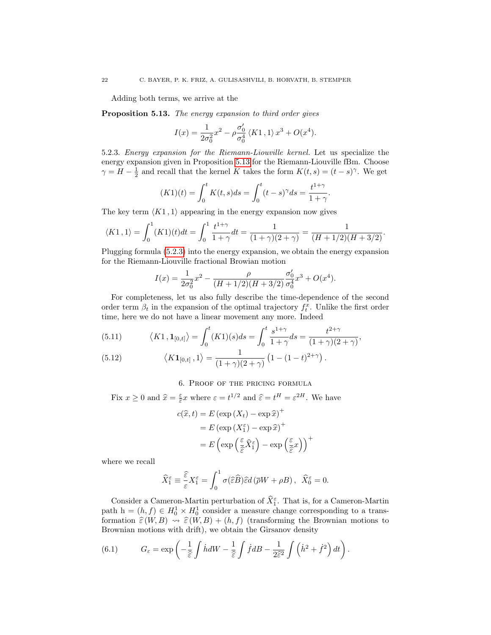Adding both terms, we arrive at the

<span id="page-21-1"></span>Proposition 5.13. The energy expansion to third order gives

$$
I(x) = \frac{1}{2\sigma_0^2} x^2 - \rho \frac{\sigma_0'}{\sigma_0^4} \langle K1, 1 \rangle x^3 + O(x^4).
$$

<span id="page-21-2"></span>5.2.3. Energy expansion for the Riemann-Liouville kernel. Let us specialize the energy expansion given in Proposition [5.13](#page-21-1) for the Riemann-Liouville fBm. Choose  $\gamma = H - \frac{1}{2}$  and recall that the kernel K takes the form  $K(t, s) = (t - s)^{\gamma}$ . We get

$$
(K1)(t) = \int_0^t K(t,s)ds = \int_0^t (t-s)^\gamma ds = \frac{t^{1+\gamma}}{1+\gamma}.
$$

The key term  $\langle K1, 1 \rangle$  appearing in the energy expansion now gives

$$
\langle K1, 1 \rangle = \int_0^1 (K1)(t)dt = \int_0^1 \frac{t^{1+\gamma}}{1+\gamma} dt = \frac{1}{(1+\gamma)(2+\gamma)} = \frac{1}{(H+1/2)(H+3/2)}.
$$

Plugging formula [\(5.2.3\)](#page-21-2) into the energy expansion, we obtain the energy expansion for the Riemann-Liouville fractional Browian motion

$$
I(x) = \frac{1}{2\sigma_0^2}x^2 - \frac{\rho}{(H+1/2)(H+3/2)}\frac{\sigma_0'}{\sigma_0^4}x^3 + O(x^4).
$$

For completeness, let us also fully describe the time-dependence of the second order term  $\beta_t$  in the expansion of the optimal trajectory  $f_t^x$ . Unlike the first order time, here we do not have a linear movement any more. Indeed

(5.11) 
$$
\langle K1, \mathbf{1}_{[0,t]} \rangle = \int_0^t (K1)(s)ds = \int_0^t \frac{s^{1+\gamma}}{1+\gamma}ds = \frac{t^{2+\gamma}}{(1+\gamma)(2+\gamma)},
$$

(5.12) 
$$
\langle K\mathbf{1}_{[0,t]},1\rangle = \frac{1}{(1+\gamma)(2+\gamma)}\left(1-(1-t)^{2+\gamma}\right).
$$

# 6. Proof of the pricing formula

<span id="page-21-0"></span>Fix  $x \ge 0$  and  $\hat{x} = \frac{\varepsilon}{\hat{\varepsilon}} x$  where  $\varepsilon = t^{1/2}$  and  $\hat{\varepsilon} = t^H = \varepsilon^{2H}$ . We have

$$
c(\hat{x}, t) = E (\exp(X_t) - \exp \hat{x})^+
$$
  
=  $E (\exp(X_1^{\varepsilon}) - \exp \hat{x})^+$   
=  $E (\exp(\frac{\varepsilon}{\hat{\varepsilon}} \hat{X}_1^{\varepsilon}) - \exp(\frac{\varepsilon}{\hat{\varepsilon}} x))^+$ 

where we recall

$$
\widehat{X}_{1}^{\varepsilon}\equiv\frac{\widehat{\varepsilon}}{\varepsilon}X_{1}^{\varepsilon}=\int_{0}^{1}\sigma(\widehat{\varepsilon}\widehat{B})\widehat{\varepsilon}d\left(\overline{\rho}W+\rho B\right),\ \ \widehat{X}_{0}^{\varepsilon}=0.
$$

Consider a Cameron-Martin perturbation of  $\hat{X}_{1}^{\varepsilon}$ . That is, for a Cameron-Martin path  $h = (h, f) \in H_0^1 \times H_0^1$  consider a measure change corresponding to a transformation  $\hat{\varepsilon}(W, B) \rightsquigarrow \hat{\varepsilon}(W, B) + (h, f)$  (transforming the Brownian motions to Brownian motions with drift), we obtain the Girsanov density

<span id="page-21-3"></span>(6.1) 
$$
G_{\varepsilon} = \exp\left(-\frac{1}{\hat{\varepsilon}}\int \dot{h}dW - \frac{1}{\hat{\varepsilon}}\int \dot{f}dB - \frac{1}{2\hat{\varepsilon}^2}\int \left(\dot{h}^2 + \dot{f}^2\right)dt\right).
$$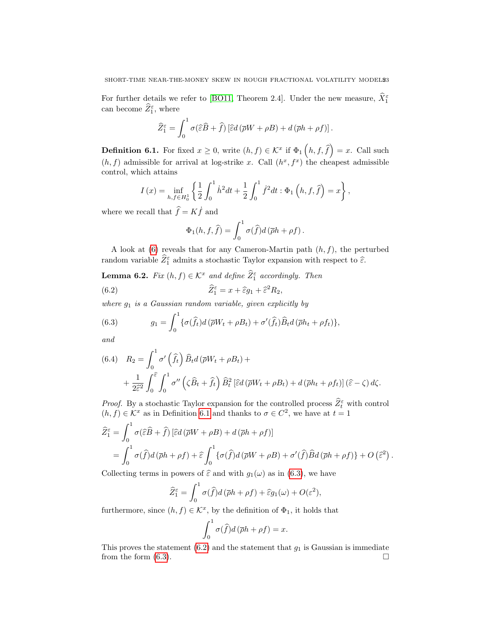For further details we refer to [\[BO11,](#page-28-12) Theorem 2.4]. Under the new measure,  $\hat{X}_{1}^{\varepsilon}$ can become  $\widehat{Z}_1^{\varepsilon}$ , where

$$
\widehat{Z}_{1}^{\varepsilon} = \int_{0}^{1} \sigma(\widehat{\varepsilon}\widehat{B} + \widehat{f}) \left[ \widehat{\varepsilon}d(\overline{\rho}W + \rho B) + d(\overline{\rho}h + \rho f) \right].
$$

<span id="page-22-2"></span>**Definition 6.1.** For fixed  $x \geq 0$ , write  $(h, f) \in \mathcal{K}^x$  if  $\Phi_1(n, f, \hat{f}) = x$ . Call such  $(h, f)$  admissible for arrival at log-strike x. Call  $(h^x, f^x)$  the cheapest admissible control, which attains

$$
I(x) = \inf_{h,f \in H_0^1} \left\{ \frac{1}{2} \int_0^1 \dot{h}^2 dt + \frac{1}{2} \int_0^1 \dot{f}^2 dt : \Phi_1\left(h,f,\hat{f}\right) = x \right\},\,
$$

where we recall that  $\hat{f} = K \hat{f}$  and

<span id="page-22-3"></span>
$$
\Phi_1(h, f, \hat{f}) = \int_0^1 \sigma(\hat{f}) d(\bar{\rho}h + \rho f).
$$

A look at  $(6)$  reveals that for any Cameron-Martin path  $(h, f)$ , the perturbed random variable  $\widehat{Z}_1^{\varepsilon}$  admits a stochastic Taylor expansion with respect to  $\widehat{\varepsilon}$ .

<span id="page-22-1"></span>**Lemma 6.2.** Fix  $(h, f) \in \mathcal{K}^x$  and define  $\widehat{Z}_1^{\varepsilon}$  accordingly. Then (6.2)  $\widehat{Z}_1^{\varepsilon}$  $\hat{\epsilon}_1^{\varepsilon} = x + \widehat{\varepsilon} g_1 + \widehat{\varepsilon}^2 R_2,$ 

where  $g_1$  is a Gaussian random variable, given explicitly by

<span id="page-22-0"></span>(6.3) 
$$
g_1 = \int_0^1 \{ \sigma(\widehat{f}_t) d(\overline{\rho}W_t + \rho B_t) + \sigma'(\widehat{f}_t) \widehat{B}_t d(\overline{\rho}h_t + \rho f_t) \},
$$

and

(6.4) 
$$
R_2 = \int_0^1 \sigma' \left(\hat{f}_t\right) \hat{B}_t d\left(\bar{\rho} W_t + \rho B_t\right) +
$$

$$
+ \frac{1}{2\hat{\epsilon}^2} \int_0^{\hat{\epsilon}} \int_0^1 \sigma'' \left(\zeta \hat{B}_t + \hat{f}_t\right) \hat{B}_t^2 \left[\hat{\epsilon} d\left(\bar{\rho} W_t + \rho B_t\right) + d\left(\bar{\rho} h_t + \rho f_t\right)\right] \left(\hat{\epsilon} - \zeta\right) d\zeta.
$$

*Proof.* By a stochastic Taylor expansion for the controlled process  $\hat{Z}_t^{\varepsilon}$  with control  $(h, f) \in \mathcal{K}^x$  as in Definition [6.1](#page-22-2) and thanks to  $\sigma \in C^2$ , we have at  $t = 1$ 

$$
\widehat{Z}_{1}^{\varepsilon} = \int_{0}^{1} \sigma(\widehat{\varepsilon}\widehat{B} + \widehat{f}) \left[ \widehat{\varepsilon}d(\overline{\rho}W + \rho B) + d(\overline{\rho}h + \rho f) \right]
$$
  
= 
$$
\int_{0}^{1} \sigma(\widehat{f})d(\overline{\rho}h + \rho f) + \widehat{\varepsilon} \int_{0}^{1} \left\{ \sigma(\widehat{f})d(\overline{\rho}W + \rho B) + \sigma'(\widehat{f})\widehat{B}d(\overline{\rho}h + \rho f) \right\} + O(\widehat{\varepsilon}^{2}).
$$

Collecting terms in powers of  $\hat{\varepsilon}$  and with  $g_1(\omega)$  as in [\(6.3\)](#page-22-0), we have

$$
\widehat{Z}_{1}^{\varepsilon} = \int_{0}^{1} \sigma(\widehat{f}) d(\overline{\rho}h + \rho f) + \widehat{\varepsilon}g_{1}(\omega) + O(\varepsilon^{2}),
$$

furthermore, since  $(h, f) \in \mathcal{K}^x$ , by the definition of  $\Phi_1$ , it holds that

$$
\int_0^1 \sigma(\widehat{f})d(\overline{\rho}h + \rho f) = x.
$$

This proves the statement  $(6.2)$  and the statement that  $g_1$  is Gaussian is immediate from the form  $(6.3)$ .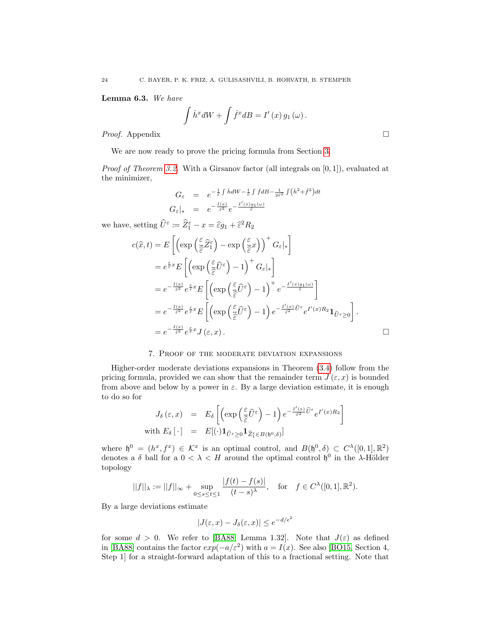Lemma 6.3. We have

$$
\int \dot{h}^x dW + \int \dot{f}^x dB = I'(x) g_1(\omega).
$$

*Proof.* Appendix □

We are now ready to prove the pricing formula from Section [3.](#page-5-0)

*Proof of Theorem [3.2.](#page-5-2)* With a Girsanov factor (all integrals on  $[0, 1]$ ), evaluated at the minimizer,

$$
G_{\varepsilon} = e^{-\frac{1}{\varepsilon} \int \dot{h} dW - \frac{1}{\varepsilon} \int \dot{f} dB - \frac{1}{2\varepsilon^2} \int (\dot{h}^2 + \dot{f}^2) dt}
$$
  

$$
G_{\varepsilon}|_{*} = e^{-\frac{I(x)}{\varepsilon^2}} e^{-\frac{I'(x)g_1(\omega)}{\varepsilon}}
$$

we have, setting  $\hat{U}^{\varepsilon} := \hat{Z}_1^{\varepsilon} - x = \hat{\varepsilon}g_1 + \hat{\varepsilon}^2 R_2$ 

$$
c(\hat{x},t) = E\left[\left(\exp\left(\frac{\varepsilon}{\hat{\varepsilon}}\hat{Z}_{1}^{\varepsilon}\right) - \exp\left(\frac{\varepsilon}{\hat{\varepsilon}}x\right)\right)^{+} G_{\varepsilon}|_{*}\right]
$$
  
\n
$$
= e^{\frac{\varepsilon}{\hat{\varepsilon}}x} E\left[\left(\exp\left(\frac{\varepsilon}{\hat{\varepsilon}}\hat{U}^{\varepsilon}\right) - 1\right)^{+} G_{\varepsilon}|_{*}\right]
$$
  
\n
$$
= e^{-\frac{I(x)}{\hat{\varepsilon}^{2}}} e^{\frac{\varepsilon}{\hat{\varepsilon}}x} E\left[\left(\exp\left(\frac{\varepsilon}{\hat{\varepsilon}}\hat{U}^{\varepsilon}\right) - 1\right)^{+} e^{-\frac{I'(x)g_{1}(\omega)}{\hat{\varepsilon}}}\right]
$$
  
\n
$$
= e^{-\frac{I(x)}{\hat{\varepsilon}^{2}}} e^{\frac{\varepsilon}{\hat{\varepsilon}}x} E\left[\left(\exp\left(\frac{\varepsilon}{\hat{\varepsilon}}\hat{U}^{\varepsilon}\right) - 1\right) e^{-\frac{I'(x)}{\hat{\varepsilon}^{2}}\hat{U}^{\varepsilon}} e^{I'(x)R_{2}} \mathbf{1}_{\hat{U}^{\varepsilon}\geq 0}\right].
$$
  
\n
$$
= e^{-\frac{I(x)}{\hat{\varepsilon}^{2}}} e^{\frac{\varepsilon}{\hat{\varepsilon}}x} J(\varepsilon, x).
$$

### 7. Proof of the moderate deviation expansions

<span id="page-23-0"></span>Higher-order moderate deviations expansions in Theorem [\(3.4\)](#page-6-0) follow from the pricing formula, provided we can show that the remainder term  $J(\varepsilon, x)$  is bounded from above and below by a power in  $\varepsilon$ . By a large deviation estimate, it is enough to do so for

$$
J_{\delta}(\varepsilon, x) = E_{\delta} \left[ \left( \exp \left( \frac{\varepsilon}{\hat{\varepsilon}} \hat{U}^{\varepsilon} \right) - 1 \right) e^{-\frac{I'(x)}{\hat{\varepsilon}^{2}} \hat{U}^{\varepsilon}} e^{I'(x) R_{2}} \right]
$$
  
with  $E_{\delta}[\cdot] = E[(\cdot) \mathbf{1}_{\hat{U}^{\varepsilon} \geq 0} \mathbf{1}_{\hat{Z}^{\varepsilon}_{1} \in B(\mathfrak{h}^{0}, \delta)}]$ 

where  $\mathfrak{h}^0 = (h^x, f^x) \in \mathcal{K}^x$  is an optimal control, and  $B(\mathfrak{h}^0, \delta) \subset C^{\lambda}([0,1], \mathbb{R}^2)$ denotes a  $\delta$  ball for a  $0 < \lambda < H$  around the optimal control  $\mathfrak{h}^0$  in the  $\lambda$ -Hölder topology

$$
||f||_{\lambda} := ||f||_{\infty} + \sup_{0 \le s \le t \le 1} \frac{|f(t) - f(s)|}{(t - s)^{\lambda}}, \text{ for } f \in C^{\lambda}([0, 1], \mathbb{R}^{2}).
$$

By a large deviations estimate

$$
|J(\varepsilon, x) - J_{\delta}(\varepsilon, x)| \le e^{-d/\epsilon^2}
$$

for some  $d > 0$ . We refer to [\[BA88,](#page-28-7) Lemma 1.32]. Note that  $J(\varepsilon)$  as defined in [\[BA88\]](#page-28-7) contains the factor  $exp(-a/\varepsilon^2)$  with  $a = I(x)$ . See also [\[BO15,](#page-28-13) Section 4, Step 1] for a straight-forward adaptation of this to a fractional setting. Note that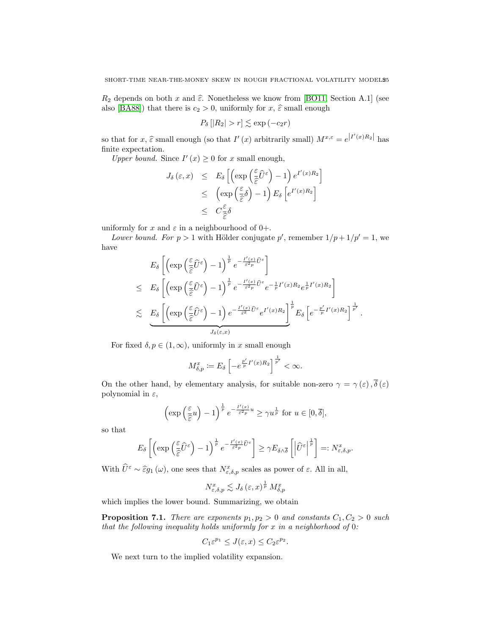$R_2$  depends on both x and  $\hat{\epsilon}$ . Nonetheless we know from [\[BO11,](#page-28-12) Section A.1] (see also [\[BA88\]](#page-28-7)) that there is  $c_2 > 0$ , uniformly for  $x, \hat{\varepsilon}$  small enough

$$
P_{\delta}\left[|R_2|>r\right]\lesssim \exp\left(-c_2r\right)
$$

so that for  $x, \hat{\varepsilon}$  small enough (so that  $I'(x)$  arbitrarily small)  $M^{x,\varepsilon} = e^{\left|I'(x)R_2\right|}$  has finite expectation.

Upper bound. Since  $I'(x) \geq 0$  for x small enough,

$$
J_{\delta}(\varepsilon, x) \leq E_{\delta} \left[ \left( \exp\left(\frac{\varepsilon}{\hat{\varepsilon}} \hat{U}^{\varepsilon}\right) - 1 \right) e^{I'(x)R_2} \right] \\
\leq \left( \exp\left(\frac{\varepsilon}{\hat{\varepsilon}} \delta\right) - 1 \right) E_{\delta} \left[ e^{I'(x)R_2} \right] \\
\leq C \frac{\varepsilon}{\hat{\varepsilon}} \delta
$$

uniformly for x and  $\varepsilon$  in a neighbourhood of 0+.

Lower bound. For  $p > 1$  with Hölder conjugate p', remember  $1/p + 1/p' = 1$ , we have

$$
E_{\delta}\left[\left(\exp\left(\frac{\varepsilon}{\hat{\varepsilon}}\hat{U}^{\varepsilon}\right)-1\right)^{\frac{1}{p}}e^{-\frac{I'(x)}{\varepsilon^{2}p}\hat{U}^{\varepsilon}}\right]
$$
  
\n
$$
\leq E_{\delta}\left[\left(\exp\left(\frac{\varepsilon}{\hat{\varepsilon}}\hat{U}^{\varepsilon}\right)-1\right)^{\frac{1}{p}}e^{-\frac{I'(x)}{\varepsilon^{2}p}\hat{U}^{\varepsilon}}e^{-\frac{1}{p}I'(x)R_{2}}e^{\frac{1}{p}I'(x)R_{2}}\right]
$$
  
\n
$$
\leq E_{\delta}\left[\left(\exp\left(\frac{\varepsilon}{\hat{\varepsilon}}\hat{U}^{\varepsilon}\right)-1\right)e^{-\frac{I'(x)}{\varepsilon^{2}}\hat{U}^{\varepsilon}}e^{I'(x)R_{2}}\right]^{\frac{1}{p}}E_{\delta}\left[e^{-\frac{p'}{p}I'(x)R_{2}}\right]^{\frac{1}{p'}}.
$$

For fixed  $\delta, p \in (1,\infty)$ , uniformly in x small enough

$$
M_{\delta,p}^x := E_{\delta} \left[ -e^{\frac{p'}{p}I'(x)R_2} \right]^{\frac{1}{p'}} < \infty.
$$

On the other hand, by elementary analysis, for suitable non-zero  $\gamma = \gamma(\varepsilon), \overline{\delta}(\varepsilon)$ polynomial in  $\varepsilon$ ,

$$
\left(\exp\left(\frac{\varepsilon}{\hat{\varepsilon}}u\right)-1\right)^{\frac{1}{p}}e^{-\frac{I'(x)}{\hat{\varepsilon}^2 p}u} \ge \gamma u^{\frac{1}{p}} \text{ for } u \in [0,\overline{\delta}],
$$

so that

$$
E_{\delta}\left[\left(\exp\left(\frac{\varepsilon}{\hat{\varepsilon}}\widehat{U}^{\varepsilon}\right)-1\right)^{\frac{1}{p}}e^{-\frac{I'(x)}{\hat{\varepsilon}^{2}p}\widehat{U}^{\varepsilon}}\right]\geq \gamma E_{\delta\wedge\overline{\delta}}\left[\left|\widehat{U}^{\varepsilon}\right|^{\frac{1}{p}}\right]=:N_{\varepsilon,\delta,p}^{x}.
$$

With  $\hat{U}^{\varepsilon} \sim \hat{\varepsilon}g_1(\omega)$ , one sees that  $N_{\varepsilon,\delta,p}^x$  scales as power of  $\varepsilon$ . All in all,

$$
N_{\varepsilon,\delta,p}^x \lesssim J_\delta\left(\varepsilon, x\right)^{\frac{1}{p}} M_{\delta,p}^x
$$

which implies the lower bound. Summarizing, we obtain

<span id="page-24-0"></span>**Proposition 7.1.** There are exponents  $p_1, p_2 > 0$  and constants  $C_1, C_2 > 0$  such that the following inequality holds uniformly for  $x$  in a neighborhood of  $0$ :

$$
C_1 \varepsilon^{p_1} \leq J(\varepsilon, x) \leq C_2 \varepsilon^{p_2}.
$$

We next turn to the implied volatility expansion.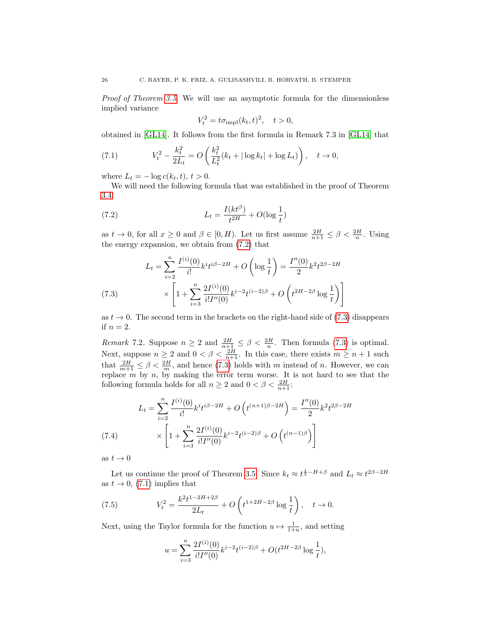Proof of Theorem [3.5.](#page-7-1) We will use an asymptotic formula for the dimensionless implied variance

<span id="page-25-0"></span>
$$
V_t^2 = t\sigma_{\text{impl}}(k_t, t)^2, \quad t > 0,
$$

obtained in [\[GL14\]](#page-29-20). It follows from the first formula in Remark 7.3 in [\[GL14\]](#page-29-20) that

<span id="page-25-2"></span>(7.1) 
$$
V_t^2 - \frac{k_t^2}{2L_t} = O\left(\frac{k_t^2}{L_t^2}(k_t + |\log k_t| + \log L_t)\right), \quad t \to 0,
$$

where  $L_t = -\log c(k_t, t), t > 0.$ 

We will need the following formula that was established in the proof of Theorem [3.4:](#page-6-0)

(7.2) 
$$
L_t = \frac{I(kt^{\beta})}{t^{2H}} + O(\log \frac{1}{t})
$$

as  $t \to 0$ , for all  $x \ge 0$  and  $\beta \in [0, H)$ . Let us first assume  $\frac{2H}{n+1} \le \beta < \frac{2H}{n}$ . Using the energy expansion, we obtain from [\(7.2\)](#page-25-0) that

<span id="page-25-1"></span>
$$
L_t = \sum_{i=2}^n \frac{I^{(i)}(0)}{i!} k^i t^{i\beta - 2H} + O\left(\log \frac{1}{t}\right) = \frac{I''(0)}{2} k^2 t^{2\beta - 2H}
$$
  
(7.3)
$$
\times \left[1 + \sum_{i=3}^n \frac{2I^{(i)}(0)}{i!I''(0)} k^{i-2} t^{(i-2)\beta} + O\left(t^{2H-2\beta} \log \frac{1}{t}\right)\right]
$$

as  $t \to 0$ . The second term in the brackets on the right-hand side of [\(7.3\)](#page-25-1) disappears if  $n = 2$ .

<span id="page-25-4"></span>*Remark* 7.2. Suppose  $n \geq 2$  and  $\frac{2H}{n+1} \leq \beta < \frac{2H}{n}$ . Then formula [\(7.3\)](#page-25-1) is optimal. Next, suppose  $n \geq 2$  and  $0 < \beta < \frac{2H}{n+1}$ . In this case, there exists  $m \geq n+1$  such that  $\frac{2H}{m+1} \leq \beta < \frac{2H}{m}$ , and hence [\(7.3\)](#page-25-1) holds with m instead of n. However, we can replace  $m$  by  $n$ , by making the error term worse. It is not hard to see that the following formula holds for all  $n \geq 2$  and  $0 < \beta < \frac{2H}{n+1}$ :

$$
L_{t} = \sum_{i=2}^{n} \frac{I^{(i)}(0)}{i!} k^{i} t^{i\beta - 2H} + O\left(t^{(n+1)\beta - 2H}\right) = \frac{I''(0)}{2} k^{2} t^{2\beta - 2H}
$$
\n
$$
\times \left[1 + \sum_{i=3}^{n} \frac{2I^{(i)}(0)}{i!I''(0)} k^{i-2} t^{(i-2)\beta} + O\left(t^{(n-1)\beta}\right)\right]
$$
\n(7.4)

as  $t \to 0$ 

Let us continue the proof of Theorem [3.5.](#page-7-1) Since  $k_t \approx t^{\frac{1}{2}-H+\beta}$  and  $L_t \approx t^{2\beta-2H}$ as  $t \to 0$ , [\(7.1\)](#page-25-2) implies that

(7.5) 
$$
V_t^2 = \frac{k^2 t^{1-2H+2\beta}}{2L_t} + O\left(t^{1+2H-2\beta} \log \frac{1}{t}\right), \quad t \to 0.
$$

Next, using the Taylor formula for the function  $u \mapsto \frac{1}{1+u}$ , and setting

<span id="page-25-3"></span>
$$
u = \sum_{i=3}^{n} \frac{2I^{(i)}(0)}{i!I''(0)} k^{i-2}t^{(i-2)\beta} + O(t^{2H-2\beta}\log\frac{1}{t}),
$$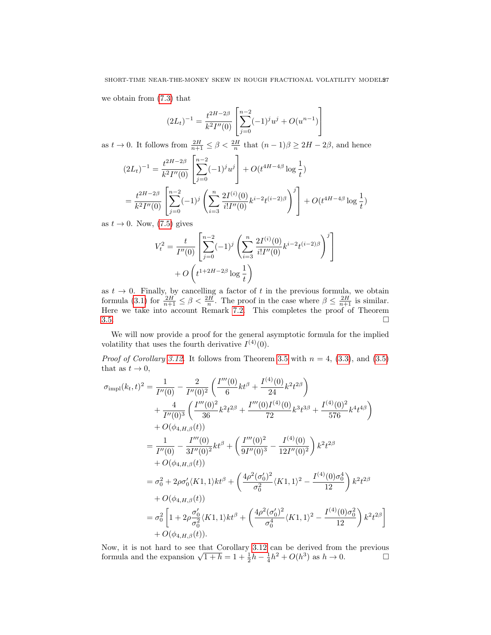we obtain from [\(7.3\)](#page-25-1) that

$$
(2L_t)^{-1} = \frac{t^{2H-2\beta}}{k^2 I''(0)} \left[ \sum_{j=0}^{n-2} (-1)^j u^j + O(u^{n-1}) \right]
$$

as  $t \to 0$ . It follows from  $\frac{2H}{n+1} \leq \beta < \frac{2H}{n}$  that  $(n-1)\beta \geq 2H - 2\beta$ , and hence  $(2L_t)^{-1} = \frac{t^{2H-2\beta}}{L^2 H^{1/2}}$  $k^2 I''(0)$  $\lceil$  $\overline{1}$  $\sum^{n-2}$  $j=0$  $(-1)^j u^j$ 1  $+ O(t^{4H-4\beta}\log\frac{1}{t})$  $=\frac{t^{2H-2\beta}}{12H(\beta)}$  $k^2 I''(0)$  $\sqrt{ }$  $\overline{1}$  $\sum^{n-2}$  $j=0$  $(-1)^j\left(\sum_{n=1}^n\right)$  $i=3$  $2I^{(i)}(0)$  $\left[\frac{2I^{(i)}(0)}{i!I''(0)}k^{i-2}t^{(i-2)\beta}\right)^j\right]$  $\left. + O(t^{4H-4\beta}\log\frac{1}{t}) \right.$ 

as  $t \to 0$ . Now, [\(7.5\)](#page-25-3) gives

$$
V_t^2 = \frac{t}{I''(0)} \left[ \sum_{j=0}^{n-2} (-1)^j \left( \sum_{i=3}^n \frac{2I^{(i)}(0)}{i!I''(0)} k^{i-2} t^{(i-2)\beta} \right)^j \right] + O\left( t^{1+2H-2\beta} \log \frac{1}{t} \right)
$$

as  $t \to 0$ . Finally, by cancelling a factor of t in the previous formula, we obtain formula [\(3.1\)](#page-7-0) for  $\frac{2H}{n+1} \leq \beta < \frac{2H}{n}$ . The proof in the case where  $\beta \leq \frac{2H}{n+1}$  is similar. Here we take into account Remark [7.2.](#page-25-4) This completes the proof of Theorem  $3.5.$ 

We will now provide a proof for the general asymptotic formula for the implied volatility that uses the fourth derivative  $I^{(4)}(0)$ .

*Proof of Corollary [3.12.](#page-8-3)* It follows from Theorem [3.5](#page-7-1) with  $n = 4$ , [\(3.3\)](#page-7-4), and [\(3.5\)](#page-8-4) that as  $t \to 0$ ,

$$
\sigma_{\text{impl}}(k_t, t)^2 = \frac{1}{I''(0)} - \frac{2}{I''(0)^2} \left( \frac{I'''(0)}{6} k t^\beta + \frac{I^{(4)}(0)}{24} k^2 t^{2\beta} \right) \n+ \frac{4}{I''(0)^3} \left( \frac{I'''(0)^2}{36} k^2 t^{2\beta} + \frac{I'''(0)I^{(4)}(0)}{72} k^3 t^{3\beta} + \frac{I^{(4)}(0)^2}{576} k^4 t^{4\beta} \right) \n+ O(\phi_{4, H, \beta}(t)) \n= \frac{1}{I''(0)} - \frac{I'''(0)}{3I''(0)^2} k t^\beta + \left( \frac{I'''(0)^2}{9I''(0)^3} - \frac{I^{(4)}(0)}{12I''(0)^2} \right) k^2 t^{2\beta} \n+ O(\phi_{4, H, \beta}(t)) \n= \sigma_0^2 + 2\rho \sigma_0'(K1, 1) k t^\beta + \left( \frac{4\rho^2(\sigma_0')^2}{\sigma_0^2} \langle K1, 1 \rangle^2 - \frac{I^{(4)}(0)\sigma_0^4}{12} \right) k^2 t^{2\beta} \n+ O(\phi_{4, H, \beta}(t)) \n= \sigma_0^2 \left[ 1 + 2\rho \frac{\sigma_0'}{\sigma_0^2} \langle K1, 1 \rangle kt^\beta + \left( \frac{4\rho^2(\sigma_0')^2}{\sigma_0^4} \langle K1, 1 \rangle^2 - \frac{I^{(4)}(0)\sigma_0^2}{12} \right) k^2 t^{2\beta} \right] \n+ O(\phi_{4, H, \beta}(t)).
$$

Now, it is not hard to see that Corollary [3.12](#page-8-3) can be derived from the previous formula and the expansion  $\sqrt{1+h} = 1 + \frac{1}{2}h - \frac{1}{4}h^2 + O(h^3)$  as  $h \to 0$ .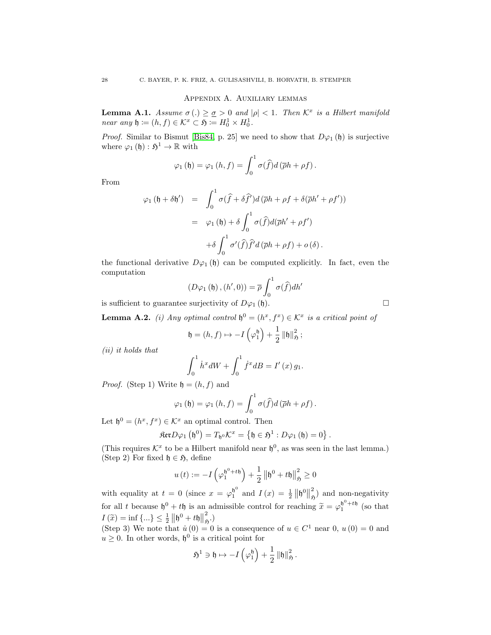### Appendix A. Auxiliary lemmas

<span id="page-27-0"></span>**Lemma A.1.** Assume  $\sigma(.) \geq \sigma > 0$  and  $|\rho| < 1$ . Then  $\mathcal{K}^x$  is a Hilbert manifold near any  $\mathfrak{h} \coloneqq (h, f) \in \mathcal{K}^x \subset \mathfrak{H} \coloneqq H_0^1 \times H_0^1$ .

*Proof.* Similar to Bismut [\[Bis84,](#page-28-8) p. 25] we need to show that  $D\varphi_1(\mathfrak{h})$  is surjective where  $\varphi_1(\mathfrak{h}): \mathfrak{H}^1 \to \mathbb{R}$  with

$$
\varphi_1(\mathfrak{h}) = \varphi_1(h, f) = \int_0^1 \sigma(\widehat{f}) d(\overline{\rho}h + \rho f).
$$

From

$$
\varphi_1 (\mathfrak{h} + \delta \mathfrak{h}') = \int_0^1 \sigma(\hat{f} + \delta \hat{f}') d(\bar{\rho}h + \rho f + \delta(\bar{\rho}h' + \rho f'))
$$
  

$$
= \varphi_1 (\mathfrak{h}) + \delta \int_0^1 \sigma(\hat{f}) d(\bar{\rho}h' + \rho f')
$$
  

$$
+ \delta \int_0^1 \sigma'(\hat{f}) \hat{f}' d(\bar{\rho}h + \rho f) + o(\delta).
$$

the functional derivative  $D\varphi_1(\mathfrak{h})$  can be computed explicitly. In fact, even the computation

$$
(D\varphi_1(\mathfrak{h}), (h', 0)) = \overline{\rho} \int_0^1 \sigma(\widehat{f}) dh'
$$

is sufficient to guarantee surjectivity of  $D\varphi_1(\mathfrak{h})$ .

**Lemma A.2.** (i) Any optimal control  $\mathfrak{h}^0 = (h^x, f^x) \in \mathcal{K}^x$  is a critical point of

$$
\mathfrak{h} = (h, f) \mapsto -I\left(\varphi_1^{\mathfrak{h}}\right) + \frac{1}{2} \left\|\mathfrak{h}\right\|_{\mathfrak{H}}^2;
$$

(ii) it holds that

$$
\int_0^1 \dot{h}^x dW + \int_0^1 \dot{f}^x dB = I'(x) g_1.
$$

*Proof.* (Step 1) Write  $\mathfrak{h} = (h, f)$  and

$$
\varphi_1(\mathfrak{h}) = \varphi_1(h, f) = \int_0^1 \sigma(\widehat{f}) d(\overline{\rho}h + \rho f).
$$

Let  $\mathfrak{h}^0 = (h^x, f^x) \in \mathcal{K}^x$  an optimal control. Then

$$
\mathfrak{Ker} D\varphi_1 \left( \mathfrak{h}^0 \right) = T_{\mathfrak{h}^0} \mathcal{K}^x = \left\{ \mathfrak{h} \in \mathfrak{H}^1 : D\varphi_1 \left( \mathfrak{h} \right) = 0 \right\}
$$

(This requires  $\mathcal{K}^x$  to be a Hilbert manifold near  $\mathfrak{h}^0$ , as was seen in the last lemma.) (Step 2) For fixed  $\mathfrak{h} \in \mathfrak{H}$ , define

$$
u(t) := -I\left(\varphi_1^{\mathfrak{h}^0 + t\mathfrak{h}}\right) + \frac{1}{2} \left\|\mathfrak{h}^0 + t\mathfrak{h}\right\|_{\mathfrak{H}}^2 \ge 0
$$

with equality at  $t = 0$  (since  $x = \varphi_1^{b^0}$  $\int_1^{6^0}$  and  $I(x) = \frac{1}{2} || 6^0 ||$ 2  $\binom{2}{5}$  and non-negativity for all t because  $\mathfrak{h}^0 + t\mathfrak{h}$  is an admissible control for reaching  $\tilde{x} = \varphi_1^{\mathfrak{h}^0 + t\mathfrak{h}}$  (so that  $I(\widetilde{x}) = \inf \{...\} \leq \frac{1}{2} ||\mathfrak{h}^0 + t\mathfrak{h}||$ 2  $\tilde{r}_{5}$ .)

(Step 3) We note that  $\dot{u}(0) = 0$  is a consequence of  $u \in C^1$  near  $0, u(0) = 0$  and  $u \geq 0$ . In other words,  $\mathfrak{h}^0$  is a critical point for

$$
\mathfrak{H}^1\ni \mathfrak{h}\mapsto -I\left(\varphi_1^{\mathfrak{h}}\right)+\frac{1}{2}\left\Vert \mathfrak{h}\right\Vert _{\mathfrak{H}}^2.
$$

.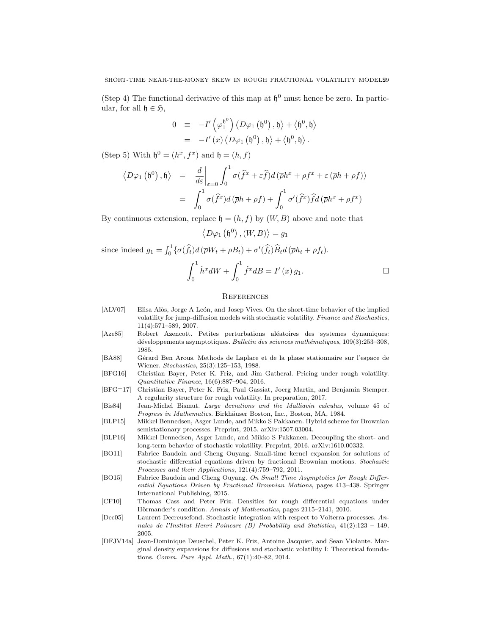(Step 4) The functional derivative of this map at  $\mathfrak{h}^0$  must hence be zero. In particular, for all  $\mathfrak{h} \in \mathfrak{H}$ ,

$$
0 \equiv -I'\left(\varphi_1^{\mathfrak{h}^0}\right) \langle D\varphi_1 \left(\mathfrak{h}^0\right), \mathfrak{h} \rangle + \langle \mathfrak{h}^0, \mathfrak{h} \rangle
$$
  
=  $-I'\left(x\right) \langle D\varphi_1 \left(\mathfrak{h}^0\right), \mathfrak{h} \rangle + \langle \mathfrak{h}^0, \mathfrak{h} \rangle.$ 

(Step 5) With  $\mathfrak{h}^0 = (h^x, f^x)$  and  $\mathfrak{h} = (h, f)$ 

$$
\langle D\varphi_1 (\mathfrak{h}^0), \mathfrak{h} \rangle = \frac{d}{d\varepsilon} \bigg|_{\varepsilon=0} \int_0^1 \sigma(\hat{f}^x + \varepsilon \hat{f}) d(\bar{\rho}h^x + \rho f^x + \varepsilon (\bar{\rho}h + \rho f))
$$
  

$$
= \int_0^1 \sigma(\hat{f}^x) d(\bar{\rho}h + \rho f) + \int_0^1 \sigma'(\hat{f}^x) \hat{f} d(\bar{\rho}h^x + \rho f^x)
$$

By continuous extension, replace  $\mathfrak{h} = (h, f)$  by  $(W, B)$  above and note that

$$
\left\langle D\varphi_1\left(\mathfrak{h}^0\right), (W, B)\right\rangle = g_1
$$

since indeed  $g_1 = \int_0^1 {\{\sigma(\hat{f}_t) d(\overline{\rho}W_t + \rho B_t) + \sigma'(\hat{f}_t) \hat{B}_t d(\overline{\rho}h_t + \rho f_t)}$ .

$$
\int_0^1 \dot{h}^x dW + \int_0^1 \dot{f}^x dB = I'(x) g_1.
$$

#### <span id="page-28-0"></span>**REFERENCES**

- <span id="page-28-2"></span>[ALV07] Elisa Alòs, Jorge A León, and Josep Vives. On the short-time behavior of the implied volatility for jump-diffusion models with stochastic volatility. Finance and Stochastics, 11(4):571–589, 2007.
- <span id="page-28-9"></span>[Aze85] Robert Azencott. Petites perturbations aléatoires des systemes dynamiques: développements asymptotiques. Bulletin des sciences mathématiques, 109(3):253-308, 1985.
- <span id="page-28-7"></span>[BA88] Gérard Ben Arous. Methods de Laplace et de la phase stationnaire sur l'espace de Wiener. Stochastics, 25(3):125–153, 1988.
- <span id="page-28-1"></span>[BFG16] Christian Bayer, Peter K. Friz, and Jim Gatheral. Pricing under rough volatility. Quantitative Finance, 16(6):887–904, 2016.
- <span id="page-28-5"></span>[BFG+17] Christian Bayer, Peter K. Friz, Paul Gassiat, Joerg Martin, and Benjamin Stemper. A regularity structure for rough volatility. In preparation, 2017.
- <span id="page-28-8"></span>[Bis84] Jean-Michel Bismut. Large deviations and the Malliavin calculus, volume 45 of Progress in Mathematics. Birkhäuser Boston, Inc., Boston, MA, 1984.
- <span id="page-28-4"></span>[BLP15] Mikkel Bennedsen, Asger Lunde, and Mikko S Pakkanen. Hybrid scheme for Brownian semistationary processes. Preprint, 2015. arXiv:1507.03004.
- <span id="page-28-3"></span>[BLP16] Mikkel Bennedsen, Asger Lunde, and Mikko S Pakkanen. Decoupling the short- and long-term behavior of stochastic volatility. Preprint, 2016. arXiv:1610.00332.
- <span id="page-28-12"></span>[BO11] Fabrice Baudoin and Cheng Ouyang. Small-time kernel expansion for solutions of stochastic differential equations driven by fractional Brownian motions. Stochastic Processes and their Applications, 121(4):759–792, 2011.
- <span id="page-28-13"></span>[BO15] Fabrice Baudoin and Cheng Ouyang. On Small Time Asymptotics for Rough Differential Equations Driven by Fractional Brownian Motions, pages 413–438. Springer International Publishing, 2015.
- <span id="page-28-10"></span>[CF10] Thomas Cass and Peter Friz. Densities for rough differential equations under Hörmander's condition. Annals of Mathematics, pages 2115-2141, 2010.
- <span id="page-28-11"></span>[Dec05] Laurent Decreusefond. Stochastic integration with respect to Volterra processes. Annales de l'Institut Henri Poincare (B) Probability and Statistics, 41(2):123 – 149, 2005.
- <span id="page-28-6"></span>[DFJV14a] Jean-Dominique Deuschel, Peter K. Friz, Antoine Jacquier, and Sean Violante. Marginal density expansions for diffusions and stochastic volatility I: Theoretical foundations. Comm. Pure Appl. Math., 67(1):40–82, 2014.